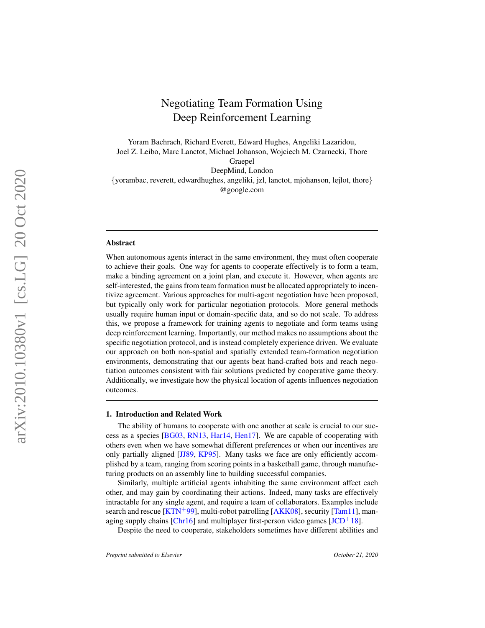# Negotiating Team Formation Using Deep Reinforcement Learning

Yoram Bachrach, Richard Everett, Edward Hughes, Angeliki Lazaridou, Joel Z. Leibo, Marc Lanctot, Michael Johanson, Wojciech M. Czarnecki, Thore Graepel DeepMind, London {yorambac, reverett, edwardhughes, angeliki, jzl, lanctot, mjohanson, lejlot, thore } @google.com

### Abstract

When autonomous agents interact in the same environment, they must often cooperate to achieve their goals. One way for agents to cooperate effectively is to form a team, make a binding agreement on a joint plan, and execute it. However, when agents are self-interested, the gains from team formation must be allocated appropriately to incentivize agreement. Various approaches for multi-agent negotiation have been proposed, but typically only work for particular negotiation protocols. More general methods usually require human input or domain-specific data, and so do not scale. To address this, we propose a framework for training agents to negotiate and form teams using deep reinforcement learning. Importantly, our method makes no assumptions about the specific negotiation protocol, and is instead completely experience driven. We evaluate our approach on both non-spatial and spatially extended team-formation negotiation environments, demonstrating that our agents beat hand-crafted bots and reach negotiation outcomes consistent with fair solutions predicted by cooperative game theory. Additionally, we investigate how the physical location of agents influences negotiation outcomes.

## <span id="page-0-0"></span>1. Introduction and Related Work

The ability of humans to cooperate with one another at scale is crucial to our success as a species [\[BG03,](#page-29-0) [RN13,](#page-37-0) [Har14,](#page-33-0) [Hen17\]](#page-33-1). We are capable of cooperating with others even when we have somewhat different preferences or when our incentives are only partially aligned [\[JJ89](#page-34-0), [KP95\]](#page-34-1). Many tasks we face are only efficiently accomplished by a team, ranging from scoring points in a basketball game, through manufacturing products on an assembly line to building successful companies.

Similarly, multiple artificial agents inhabiting the same environment affect each other, and may gain by coordinating their actions. Indeed, many tasks are effectively intractable for any single agent, and require a team of collaborators. Examples include search and rescue [\[KTN](#page-34-2)<sup>+</sup>99], multi-robot patrolling [\[AKK08\]](#page-28-0), security [\[Tam11\]](#page-38-0), managing supply chains  $[Chr16]$  and multiplayer first-person video games  $[JCD+18]$  $[JCD+18]$ .

Despite the need to cooperate, stakeholders sometimes have different abilities and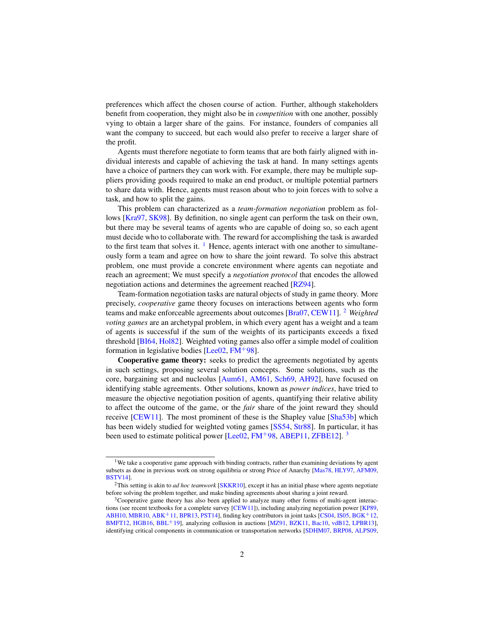preferences which affect the chosen course of action. Further, although stakeholders benefit from cooperation, they might also be in *competition* with one another, possibly vying to obtain a larger share of the gains. For instance, founders of companies all want the company to succeed, but each would also prefer to receive a larger share of the profit.

Agents must therefore negotiate to form teams that are both fairly aligned with individual interests and capable of achieving the task at hand. In many settings agents have a choice of partners they can work with. For example, there may be multiple suppliers providing goods required to make an end product, or multiple potential partners to share data with. Hence, agents must reason about who to join forces with to solve a task, and how to split the gains.

This problem can characterized as a *team-formation negotiation* problem as follows [\[Kra97,](#page-34-3) [SK98\]](#page-37-1). By definition, no single agent can perform the task on their own, but there may be several teams of agents who are capable of doing so, so each agent must decide who to collaborate with. The reward for accomplishing the task is awarded to the first team that solves it.  $\frac{1}{1}$  $\frac{1}{1}$  $\frac{1}{1}$  Hence, agents interact with one another to simultaneously form a team and agree on how to share the joint reward. To solve this abstract problem, one must provide a concrete environment where agents can negotiate and reach an agreement; We must specify a *negotiation protocol* that encodes the allowed negotiation actions and determines the agreement reached [\[RZ94\]](#page-37-2).

Team-formation negotiation tasks are natural objects of study in game theory. More precisely, *cooperative* game theory focuses on interactions between agents who form teams and make enforceable agreements about outcomes [\[Bra07,](#page-30-0) [CEW11\]](#page-31-1). [2](#page-1-1) *Weighted voting games* are an archetypal problem, in which every agent has a weight and a team of agents is successful if the sum of the weights of its participants exceeds a fixed threshold [\[BI64,](#page-29-1) [Hol82\]](#page-33-3). Weighted voting games also offer a simple model of coalition formation in legislative bodies  $[Lee02, FM+98]$  $[Lee02, FM+98]$  $[Lee02, FM+98]$  $[Lee02, FM+98]$ .

Cooperative game theory: seeks to predict the agreements negotiated by agents in such settings, proposing several solution concepts. Some solutions, such as the core, bargaining set and nucleolus [\[Aum61,](#page-28-1) [AM61,](#page-28-2) [Sch69,](#page-37-3) [AH92\]](#page-28-3), have focused on identifying stable agreements. Other solutions, known as *power indices*, have tried to measure the objective negotiation position of agents, quantifying their relative ability to affect the outcome of the game, or the *fair* share of the joint reward they should receive [\[CEW11\]](#page-31-1). The most prominent of these is the Shapley value [\[Sha53b\]](#page-37-4) which has been widely studied for weighted voting games [\[SS54,](#page-38-1) [Str88\]](#page-38-2). In particular, it has been used to estimate political power [\[Lee02,](#page-34-4) [FM](#page-32-0)<sup>+98</sup>, [ABEP11,](#page-27-0) [ZFBE12\]](#page-39-0).<sup>[3](#page-1-2)</sup>

<span id="page-1-0"></span><sup>&</sup>lt;sup>1</sup>We take a cooperative game approach with binding contracts, rather than examining deviations by agent subsets as done in previous work on strong equilibria or strong Price of Anarchy [\[Mas78,](#page-35-0) [HLY97,](#page-33-4) [AFM09,](#page-28-4) [BSTV14\]](#page-30-1).

<span id="page-1-1"></span><sup>2</sup>This setting is akin to *ad hoc teamwork* [\[SKKR10\]](#page-37-5), except it has an initial phase where agents negotiate before solving the problem together, and make binding agreements about sharing a joint reward.

<span id="page-1-2"></span> $3$ Cooperative game theory has also been applied to analyze many other forms of multi-agent interac-tions (see recent textbooks for a complete survey [\[CEW11\]](#page-31-1)), including analyzing negotiation power [\[KP89,](#page-34-5) [ABH10,](#page-27-1) [MBR10,](#page-35-1) [ABK](#page-27-2)+11, [BPR13,](#page-30-2) [PST14\]](#page-36-0), finding key contributors in joint tasks [\[CS04,](#page-31-2) [IS05,](#page-33-5) [BGK](#page-29-2)+12, [BMFT12,](#page-30-3) [HGB16,](#page-33-6) [BBL](#page-29-3)+19], analyzing collusion in auctions [\[MZ91,](#page-36-1) [BZK11,](#page-30-4) [Bac10,](#page-29-4) [vdB12,](#page-38-3) [LPBR13\]](#page-35-2), identifying critical components in communication or transportation networks [\[SDHM07,](#page-37-6) [BRP08,](#page-30-5) [ALPS09,](#page-28-5)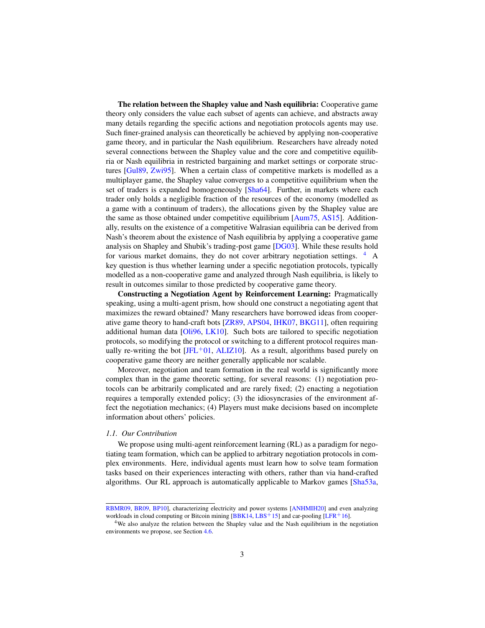The relation between the Shapley value and Nash equilibria: Cooperative game theory only considers the value each subset of agents can achieve, and abstracts away many details regarding the specific actions and negotiation protocols agents may use. Such finer-grained analysis can theoretically be achieved by applying non-cooperative game theory, and in particular the Nash equilibrium. Researchers have already noted several connections between the Shapley value and the core and competitive equilibria or Nash equilibria in restricted bargaining and market settings or corporate structures [\[Gul89,](#page-33-7) [Zwi95\]](#page-39-1). When a certain class of competitive markets is modelled as a multiplayer game, the Shapley value converges to a competitive equilibrium when the set of traders is expanded homogeneously [\[Sha64\]](#page-37-7). Further, in markets where each trader only holds a negligible fraction of the resources of the economy (modelled as a game with a continuum of traders), the allocations given by the Shapley value are the same as those obtained under competitive equilibrium [\[Aum75,](#page-28-6) [AS15\]](#page-28-7). Additionally, results on the existence of a competitive Walrasian equilibria can be derived from Nash's theorem about the existence of Nash equilibria by applying a cooperative game analysis on Shapley and Shubik's trading-post game [\[DG03\]](#page-31-3). While these results hold for various market domains, they do not cover arbitrary negotiation settings. <sup>[4](#page-2-0)</sup> A key question is thus whether learning under a specific negotiation protocols, typically modelled as a non-cooperative game and analyzed through Nash equilibria, is likely to result in outcomes similar to those predicted by cooperative game theory.

Constructing a Negotiation Agent by Reinforcement Learning: Pragmatically speaking, using a multi-agent prism, how should one construct a negotiating agent that maximizes the reward obtained? Many researchers have borrowed ideas from cooperative game theory to hand-craft bots [\[ZR89,](#page-39-2) [APS04,](#page-28-8) [IHK07,](#page-33-8) [BKG11\]](#page-29-5), often requiring additional human data [\[Oli96,](#page-36-2) [LK10\]](#page-35-3). Such bots are tailored to specific negotiation protocols, so modifying the protocol or switching to a different protocol requires manually re-writing the bot  $[JFL+01, ALIZ10]$  $[JFL+01, ALIZ10]$  $[JFL+01, ALIZ10]$ . As a result, algorithms based purely on cooperative game theory are neither generally applicable nor scalable.

Moreover, negotiation and team formation in the real world is significantly more complex than in the game theoretic setting, for several reasons: (1) negotiation protocols can be arbitrarily complicated and are rarely fixed; (2) enacting a negotiation requires a temporally extended policy; (3) the idiosyncrasies of the environment affect the negotiation mechanics; (4) Players must make decisions based on incomplete information about others' policies.

## *1.1. Our Contribution*

We propose using multi-agent reinforcement learning (RL) as a paradigm for negotiating team formation, which can be applied to arbitrary negotiation protocols in complex environments. Here, individual agents must learn how to solve team formation tasks based on their experiences interacting with others, rather than via hand-crafted algorithms. Our RL approach is automatically applicable to Markov games [\[Sha53a,](#page-37-8)

[RBMR09,](#page-36-3) [BR09,](#page-30-6) [BP10\]](#page-30-7), characterizing electricity and power systems [\[ANHMIH20\]](#page-28-10) and even analyzing workloads in cloud computing or Bitcoin mining  $[B B K14, LBS<sup>+</sup>15]$  $[B B K14, LBS<sup>+</sup>15]$  $[B B K14, LBS<sup>+</sup>15]$  and car-pooling  $[LFR<sup>+</sup>16]$  $[LFR<sup>+</sup>16]$ .

<span id="page-2-0"></span><sup>&</sup>lt;sup>4</sup>We also analyze the relation between the Shapley value and the Nash equilibrium in the negotiation environments we propose, see Section [4.6.](#page-21-0)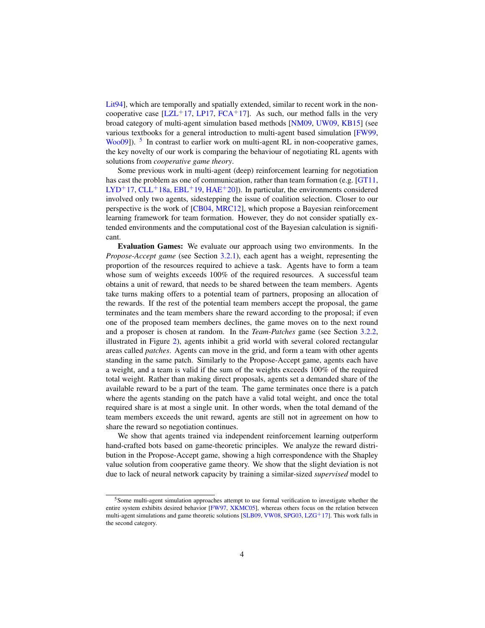Lit<sub>94</sub>], which are temporally and spatially extended, similar to recent work in the noncooperative case  $[LZL+17, LP17, FCA+17]$  $[LZL+17, LP17, FCA+17]$  $[LZL+17, LP17, FCA+17]$  $[LZL+17, LP17, FCA+17]$  $[LZL+17, LP17, FCA+17]$  $[LZL+17, LP17, FCA+17]$ . As such, our method falls in the very broad category of multi-agent simulation based methods [\[NM09,](#page-36-4) [UW09,](#page-38-4) [KB15\]](#page-34-10) (see various textbooks for a general introduction to multi-agent based simulation [\[FW99,](#page-32-2)  $Woo09$ ]). <sup>[5](#page-3-0)</sup> In contrast to earlier work on multi-agent RL in non-cooperative games, the key novelty of our work is comparing the behaviour of negotiating RL agents with solutions from *cooperative game theory*.

Some previous work in multi-agent (deep) reinforcement learning for negotiation has cast the problem as one of communication, rather than team formation (e.g. [\[GT11,](#page-32-3)  $LYD+17$  $LYD+17$ , [CLL](#page-31-4)+18a, [EBL](#page-32-4)+19, [HAE](#page-33-9)+20]). In particular, the environments considered involved only two agents, sidestepping the issue of coalition selection. Closer to our perspective is the work of [\[CB04,](#page-31-5) [MRC12\]](#page-36-5), which propose a Bayesian reinforcement learning framework for team formation. However, they do not consider spatially extended environments and the computational cost of the Bayesian calculation is significant.

Evaluation Games: We evaluate our approach using two environments. In the *Propose-Accept game* (see Section [3.2.1\)](#page-8-0), each agent has a weight, representing the proportion of the resources required to achieve a task. Agents have to form a team whose sum of weights exceeds 100% of the required resources. A successful team obtains a unit of reward, that needs to be shared between the team members. Agents take turns making offers to a potential team of partners, proposing an allocation of the rewards. If the rest of the potential team members accept the proposal, the game terminates and the team members share the reward according to the proposal; if even one of the proposed team members declines, the game moves on to the next round and a proposer is chosen at random. In the *Team-Patches* game (see Section [3.2.2,](#page-8-1) illustrated in Figure [2\)](#page-9-0), agents inhibit a grid world with several colored rectangular areas called *patches*. Agents can move in the grid, and form a team with other agents standing in the same patch. Similarly to the Propose-Accept game, agents each have a weight, and a team is valid if the sum of the weights exceeds 100% of the required total weight. Rather than making direct proposals, agents set a demanded share of the available reward to be a part of the team. The game terminates once there is a patch where the agents standing on the patch have a valid total weight, and once the total required share is at most a single unit. In other words, when the total demand of the team members exceeds the unit reward, agents are still not in agreement on how to share the reward so negotiation continues.

We show that agents trained via independent reinforcement learning outperform hand-crafted bots based on game-theoretic principles. We analyze the reward distribution in the Propose-Accept game, showing a high correspondence with the Shapley value solution from cooperative game theory. We show that the slight deviation is not due to lack of neural network capacity by training a similar-sized *supervised* model to

<span id="page-3-0"></span> $5$ Some multi-agent simulation approaches attempt to use formal verification to investigate whether the entire system exhibits desired behavior [\[FW97,](#page-32-5) [XKMC05\]](#page-38-6), whereas others focus on the relation between multi-agent simulations and game theoretic solutions [\[SLB09,](#page-37-9) [VW08,](#page-38-7) [SPG03,](#page-38-8) [LZG](#page-35-7)<sup>+</sup>17]. This work falls in the second category.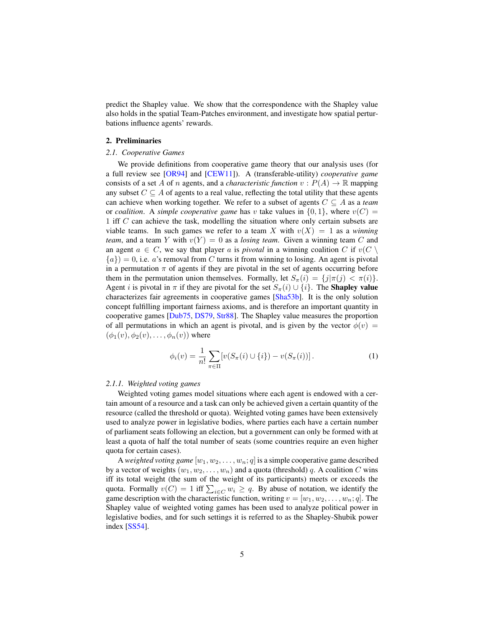predict the Shapley value. We show that the correspondence with the Shapley value also holds in the spatial Team-Patches environment, and investigate how spatial perturbations influence agents' rewards.

# 2. Preliminaries

# *2.1. Cooperative Games*

We provide definitions from cooperative game theory that our analysis uses (for a full review see [\[OR94\]](#page-36-6) and [\[CEW11\]](#page-31-1)). A (transferable-utility) *cooperative game* consists of a set A of n agents, and a *characteristic function*  $v : P(A) \to \mathbb{R}$  mapping any subset  $C \subseteq A$  of agents to a real value, reflecting the total utility that these agents can achieve when working together. We refer to a subset of agents  $C \subseteq A$  as a *team* or *coalition*. A *simple cooperative game* has v take values in  $\{0, 1\}$ , where  $v(C)$  = 1 iff C can achieve the task, modelling the situation where only certain subsets are viable teams. In such games we refer to a team X with  $v(X) = 1$  as a *winning team*, and a team Y with  $v(Y) = 0$  as a *losing team*. Given a winning team C and an agent  $a \in C$ , we say that player a is *pivotal* in a winning coalition C if  $v(C \setminus C)$  ${a}$ ) = 0, i.e. a's removal from C turns it from winning to losing. An agent is pivotal in a permutation  $\pi$  of agents if they are pivotal in the set of agents occurring before them in the permutation union themselves. Formally, let  $S_\pi(i) = \{j | \pi(j) < \pi(i)\}\$ . Agent *i* is pivotal in  $\pi$  if they are pivotal for the set  $S_{\pi}(i) \cup \{i\}$ . The **Shapley value** characterizes fair agreements in cooperative games [\[Sha53b\]](#page-37-4). It is the only solution concept fulfilling important fairness axioms, and is therefore an important quantity in cooperative games [\[Dub75,](#page-31-6) [DS79,](#page-31-7) [Str88\]](#page-38-2). The Shapley value measures the proportion of all permutations in which an agent is pivotal, and is given by the vector  $\phi(v)$  =  $(\phi_1(v), \phi_2(v), \ldots, \phi_n(v))$  where

$$
\phi_i(v) = \frac{1}{n!} \sum_{\pi \in \Pi} \left[ v(S_{\pi}(i) \cup \{i\}) - v(S_{\pi}(i)) \right]. \tag{1}
$$

# <span id="page-4-0"></span>*2.1.1. Weighted voting games*

Weighted voting games model situations where each agent is endowed with a certain amount of a resource and a task can only be achieved given a certain quantity of the resource (called the threshold or quota). Weighted voting games have been extensively used to analyze power in legislative bodies, where parties each have a certain number of parliament seats following an election, but a government can only be formed with at least a quota of half the total number of seats (some countries require an even higher quota for certain cases).

<span id="page-4-1"></span>A *weighted voting game*  $[w_1, w_2, \ldots, w_n; q]$  is a simple cooperative game described by a vector of weights  $(w_1, w_2, \dots, w_n)$  and a quota (threshold) q. A coalition C wins iff its total weight (the sum of the weight of its participants) meets or exceeds the quota. Formally  $v(C) = 1$  iff  $\sum_{i \in C} w_i \ge q$ . By abuse of notation, we identify the game description with the characteristic function, writing  $v = [w_1, w_2, \dots, w_n; q]$ . The Shapley value of weighted voting games has been used to analyze political power in legislative bodies, and for such settings it is referred to as the Shapley-Shubik power index [\[SS54\]](#page-38-1).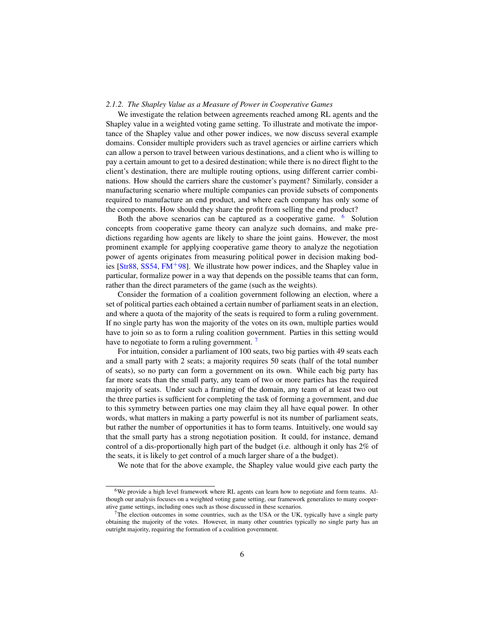### *2.1.2. The Shapley Value as a Measure of Power in Cooperative Games*

We investigate the relation between agreements reached among RL agents and the Shapley value in a weighted voting game setting. To illustrate and motivate the importance of the Shapley value and other power indices, we now discuss several example domains. Consider multiple providers such as travel agencies or airline carriers which can allow a person to travel between various destinations, and a client who is willing to pay a certain amount to get to a desired destination; while there is no direct flight to the client's destination, there are multiple routing options, using different carrier combinations. How should the carriers share the customer's payment? Similarly, consider a manufacturing scenario where multiple companies can provide subsets of components required to manufacture an end product, and where each company has only some of the components. How should they share the profit from selling the end product?

Both the above scenarios can be captured as a cooperative game. <sup>[6](#page-5-0)</sup> Solution concepts from cooperative game theory can analyze such domains, and make predictions regarding how agents are likely to share the joint gains. However, the most prominent example for applying cooperative game theory to analyze the negotiation power of agents originates from measuring political power in decision making bodies  $[Str88, SSS4, FM+98]$  $[Str88, SSS4, FM+98]$  $[Str88, SSS4, FM+98]$  $[Str88, SSS4, FM+98]$ . We illustrate how power indices, and the Shapley value in particular, formalize power in a way that depends on the possible teams that can form, rather than the direct parameters of the game (such as the weights).

Consider the formation of a coalition government following an election, where a set of political parties each obtained a certain number of parliament seats in an election, and where a quota of the majority of the seats is required to form a ruling government. If no single party has won the majority of the votes on its own, multiple parties would have to join so as to form a ruling coalition government. Parties in this setting would have to negotiate to form a ruling government.<sup>[7](#page-5-1)</sup>

For intuition, consider a parliament of 100 seats, two big parties with 49 seats each and a small party with 2 seats; a majority requires 50 seats (half of the total number of seats), so no party can form a government on its own. While each big party has far more seats than the small party, any team of two or more parties has the required majority of seats. Under such a framing of the domain, any team of at least two out the three parties is sufficient for completing the task of forming a government, and due to this symmetry between parties one may claim they all have equal power. In other words, what matters in making a party powerful is not its number of parliament seats, but rather the number of opportunities it has to form teams. Intuitively, one would say that the small party has a strong negotiation position. It could, for instance, demand control of a dis-proportionally high part of the budget (i.e. although it only has 2% of the seats, it is likely to get control of a much larger share of a the budget).

We note that for the above example, the Shapley value would give each party the

<span id="page-5-0"></span><sup>&</sup>lt;sup>6</sup>We provide a high level framework where RL agents can learn how to negotiate and form teams. Although our analysis focuses on a weighted voting game setting, our framework generalizes to many cooperative game settings, including ones such as those discussed in these scenarios.

<span id="page-5-1"></span> $7$ The election outcomes in some countries, such as the USA or the UK, typically have a single party obtaining the majority of the votes. However, in many other countries typically no single party has an outright majority, requiring the formation of a coalition government.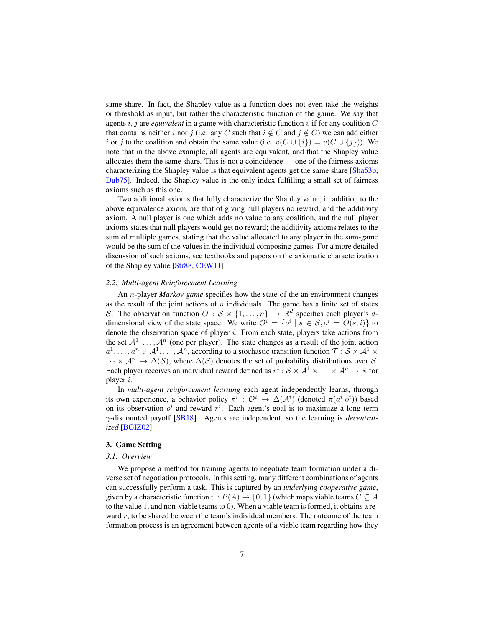same share. In fact, the Shapley value as a function does not even take the weights or threshold as input, but rather the characteristic function of the game. We say that agents  $i, j$  are *equivalent* in a game with characteristic function v if for any coalition C that contains neither i nor j (i.e. any C such that  $i \notin C$  and  $j \notin C$ ) we can add either i or j to the coalition and obtain the same value (i.e.  $v(C \cup \{i\}) = v(C \cup \{j\})$ ). We note that in the above example, all agents are equivalent, and that the Shapley value allocates them the same share. This is not a coincidence — one of the fairness axioms characterizing the Shapley value is that equivalent agents get the same share [\[Sha53b,](#page-37-4) [Dub75\]](#page-31-6). Indeed, the Shapley value is the only index fulfilling a small set of fairness axioms such as this one.

Two additional axioms that fully characterize the Shapley value, in addition to the above equivalence axiom, are that of giving null players no reward, and the additivity axiom. A null player is one which adds no value to any coalition, and the null player axioms states that null players would get no reward; the additivity axioms relates to the sum of multiple games, stating that the value allocated to any player in the sum-game would be the sum of the values in the individual composing games. For a more detailed discussion of such axioms, see textbooks and papers on the axiomatic characterization of the Shapley value [\[Str88,](#page-38-2) [CEW11\]](#page-31-1).

# <span id="page-6-0"></span>*2.2. Multi-agent Reinforcement Learning*

An n-player *Markov game* specifies how the state of the an environment changes as the result of the joint actions of  $n$  individuals. The game has a finite set of states S. The observation function  $O : \mathcal{S} \times \{1, \ldots, n\} \to \mathbb{R}^d$  specifies each player's ddimensional view of the state space. We write  $\mathcal{O}^i = \{o^i \mid s \in \mathcal{S}, o^i = O(s, i)\}\)$ denote the observation space of player  $i$ . From each state, players take actions from the set  $\mathcal{A}^1, \ldots, \mathcal{A}^n$  (one per player). The state changes as a result of the joint action  $a^1, \ldots, a^n \in A^1, \ldots, A^n$ , according to a stochastic transition function  $\mathcal{T}: \mathcal{S} \times A^1 \times$  $\cdots \times \mathcal{A}^n \to \Delta(\mathcal{S})$ , where  $\Delta(\mathcal{S})$  denotes the set of probability distributions over S. Each player receives an individual reward defined as  $r^i : S \times A^1 \times \cdots \times A^n \to \mathbb{R}$  for player i.

In *multi-agent reinforcement learning* each agent independently learns, through its own experience, a behavior policy  $\pi^i$  :  $\mathcal{O}^i \to \Delta(\mathcal{A}^i)$  (denoted  $\pi(a^i|o^i)$ ) based on its observation  $o^i$  and reward  $r^i$ . Each agent's goal is to maximize a long term γ-discounted payoff [\[SB18\]](#page-37-10). Agents are independent, so the learning is *decentralized* [\[BGIZ02\]](#page-29-7).

# <span id="page-6-1"></span>3. Game Setting

## <span id="page-6-2"></span>*3.1. Overview*

We propose a method for training agents to negotiate team formation under a diverse set of negotiation protocols. In this setting, many different combinations of agents can successfully perform a task. This is captured by an *underlying cooperative game*, given by a characteristic function  $v : P(A) \to \{0, 1\}$  (which maps viable teams  $C \subseteq A$ to the value 1, and non-viable teams to 0). When a viable team is formed, it obtains a reward  $r$ , to be shared between the team's individual members. The outcome of the team formation process is an agreement between agents of a viable team regarding how they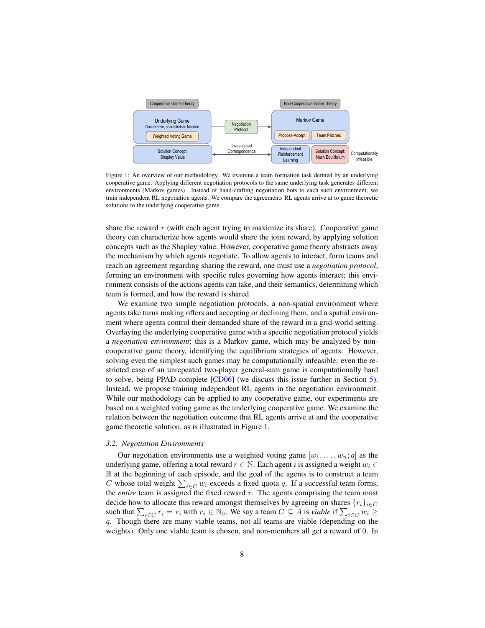<span id="page-7-0"></span>

Figure 1: An overview of our methodology. We examine a team formation task defined by an underlying cooperative game. Applying different negotiation protocols to the same underlying task generates different environments (Markov games). Instead of hand-crafting negotiation bots to each such environment, we train independent RL negotiation agents. We compare the agreements RL agents arrive at to game theoretic solutions to the underlying cooperative game.

share the reward  $r$  (with each agent trying to maximize its share). Cooperative game theory can characterize how agents would share the joint reward, by applying solution concepts such as the Shapley value. However, cooperative game theory abstracts away the mechanism by which agents negotiate. To allow agents to interact, form teams and reach an agreement regarding sharing the reward, one must use a *negotiation protocol*, forming an environment with specific rules governing how agents interact; this environment consists of the actions agents can take, and their semantics, determining which team is formed, and how the reward is shared.

We examine two simple negotiation protocols, a non-spatial environment where agents take turns making offers and accepting or declining them, and a spatial environment where agents control their demanded share of the reward in a grid-world setting. Overlaying the underlying cooperative game with a specific negotiation protocol yields a *negotiation environment*; this is a Markov game, which may be analyzed by noncooperative game theory, identifying the equilibrium strategies of agents. However, solving even the simplest such games may be computationally infeasible: even the restricted case of an unrepeated two-player general-sum game is computationally hard to solve, being PPAD-complete [\[CD06\]](#page-31-8) (we discuss this issue further in Section [5\)](#page-26-0). Instead, we propose training independent RL agents in the negotiation environment. While our methodology can be applied to any cooperative game, our experiments are based on a weighted voting game as the underlying cooperative game. We examine the relation between the negotiation outcome that RL agents arrive at and the cooperative game theoretic solution, as is illustrated in Figure [1.](#page-7-0)

## <span id="page-7-1"></span>*3.2. Negotiation Environments*

Our negotiation environments use a weighted voting game  $[w_1, \ldots, w_n; q]$  as the underlying game, offering a total reward  $r \in \mathbb{N}$ . Each agent i is assigned a weight  $w_i \in$  $\mathbb R$  at the beginning of each episode, and the goal of the agents is to construct a team C whose total weight  $\sum_{i \in C} w_i$  exceeds a fixed quota q. If a successful team forms, the *entire* team is assigned the fixed reward r. The agents comprising the team must decide how to allocate this reward amongst themselves by agreeing on shares  $\{r_i\}_{i\in C}$ such that  $\sum_{i \in C} r_i = r$ , with  $r_i \in \mathbb{N}_0$ . We say a team  $C \subseteq A$  is *viable* if  $\sum_{i \in C} w_i \ge$ q. Though there are many viable teams, not all teams are viable (depending on the weights). Only one viable team is chosen, and non-members all get a reward of 0. In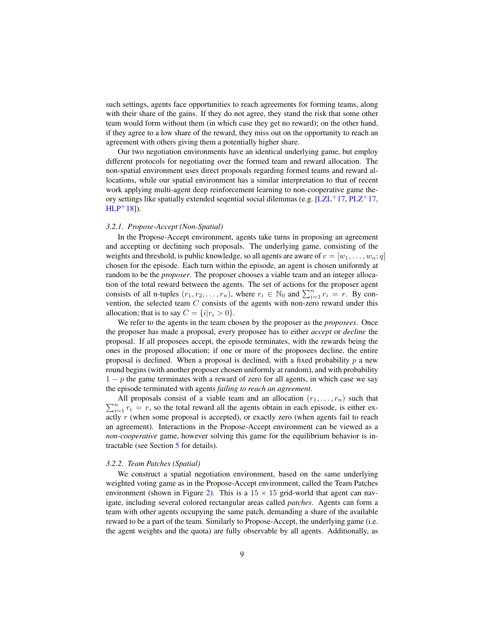such settings, agents face opportunities to reach agreements for forming teams, along with their share of the gains. If they do not agree, they stand the risk that some other team would form without them (in which case they get no reward); on the other hand, if they agree to a low share of the reward, they miss out on the opportunity to reach an agreement with others giving them a potentially higher share.

Our two negotiation environments have an identical underlying game, but employ different protocols for negotiating over the formed team and reward allocation. The non-spatial environment uses direct proposals regarding formed teams and reward allocations, while our spatial environment has a similar interpretation to that of recent work applying multi-agent deep reinforcement learning to non-cooperative game theory settings like spatially extended seqential social dilemmas (e.g.  $[LZL+17, PLZ+17,$  $[LZL+17, PLZ+17,$  $[LZL+17, PLZ+17,$  $[LZL+17, PLZ+17,$  $HLP$ <sup>+</sup>18]).

# <span id="page-8-0"></span>*3.2.1. Propose-Accept (Non-Spatial)*

In the Propose-Accept environment, agents take turns in proposing an agreement and accepting or declining such proposals. The underlying game, consisting of the weights and threshold, is public knowledge, so all agents are aware of  $v = [w_1, \ldots, w_n; q]$ chosen for the episode. Each turn within the episode, an agent is chosen uniformly at random to be the *proposer*. The proposer chooses a viable team and an integer allocation of the total reward between the agents. The set of actions for the proposer agent consists of all n-tuples  $(r_1, r_2, \ldots, r_n)$ , where  $r_i \in \mathbb{N}_0$  and  $\sum_{i=1}^n r_i = r$ . By convention, the selected team  $C$  consists of the agents with non-zero reward under this allocation; that is to say  $C = \{i | r_i > 0\}.$ 

We refer to the agents in the team chosen by the proposer as the *proposees*. Once the proposer has made a proposal, every proposee has to either *accept* or *decline* the proposal. If all proposees accept, the episode terminates, with the rewards being the ones in the proposed allocation; if one or more of the proposees decline, the entire proposal is declined. When a proposal is declined, with a fixed probability  $p$  a new round begins (with another proposer chosen uniformly at random), and with probability  $1 - p$  the game terminates with a reward of zero for all agents, in which case we say the episode terminated with agents *failing to reach an agreement*.

 $\sum_{i=1}^{n} r_i = r$ , so the total reward all the agents obtain in each episode, is either ex-All proposals consist of a viable team and an allocation  $(r_1, \ldots, r_n)$  such that actly r (when some proposal is accepted), or exactly zero (when agents fail to reach an agreement). Interactions in the Propose-Accept environment can be viewed as a *non-cooperative* game, however solving this game for the equilibrium behavior is intractable (see Section [5](#page-26-0) for details).

#### <span id="page-8-1"></span>*3.2.2. Team Patches (Spatial)*

We construct a spatial negotiation environment, based on the same underlying weighted voting game as in the Propose-Accept environment, called the Team Patches environment (shown in Figure [2\)](#page-9-0). This is a  $15 \times 15$  grid-world that agent can navigate, including several colored rectangular areas called *patches*. Agents can form a team with other agents occupying the same patch, demanding a share of the available reward to be a part of the team. Similarly to Propose-Accept, the underlying game (i.e. the agent weights and the quota) are fully observable by all agents. Additionally, as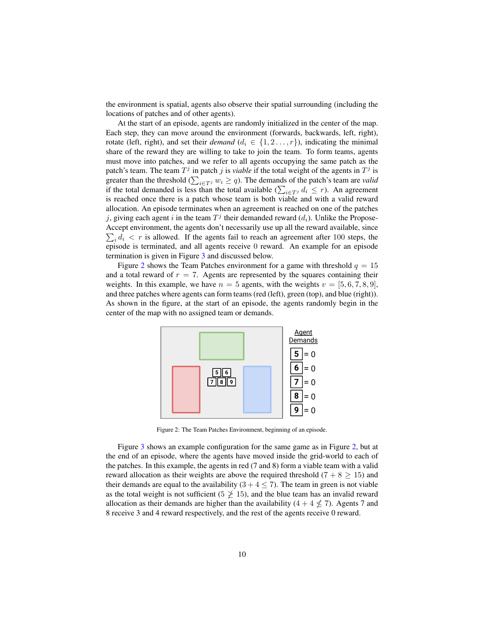the environment is spatial, agents also observe their spatial surrounding (including the locations of patches and of other agents).

At the start of an episode, agents are randomly initialized in the center of the map. Each step, they can move around the environment (forwards, backwards, left, right), rotate (left, right), and set their *demand*  $(d_i \in \{1, 2, ..., r\})$ , indicating the minimal share of the reward they are willing to take to join the team. To form teams, agents must move into patches, and we refer to all agents occupying the same patch as the patch's team. The team  $T^j$  in patch j is *viable* if the total weight of the agents in  $T^j$  is greater than the threshold ( $\sum_{i \in T} w_i \ge q$ ). The demands of the patch's team are *valid* if the total demanded is less than the total available ( $\sum_{i \in T_j} d_i \leq r$ ). An agreement is reached once there is a patch whose team is both viable and with a valid reward allocation. An episode terminates when an agreement is reached on one of the patches j, giving each agent i in the team  $T<sup>j</sup>$  their demanded reward  $(d<sub>i</sub>)$ . Unlike the Propose-Accept environment, the agents don't necessarily use up all the reward available, since  $\sum_i d_i < r$  is allowed. If the agents fail to reach an agreement after 100 steps, the episode is terminated, and all agents receive 0 reward. An example for an episode termination is given in Figure [3](#page-10-0) and discussed below.

Figure [2](#page-9-0) shows the Team Patches environment for a game with threshold  $q = 15$ and a total reward of  $r = 7$ . Agents are represented by the squares containing their weights. In this example, we have  $n = 5$  agents, with the weights  $v = [5, 6, 7, 8, 9]$ , and three patches where agents can form teams (red (left), green (top), and blue (right)). As shown in the figure, at the start of an episode, the agents randomly begin in the center of the map with no assigned team or demands.

<span id="page-9-0"></span>

Figure 2: The Team Patches Environment, beginning of an episode.

Figure [3](#page-10-0) shows an example configuration for the same game as in Figure [2,](#page-9-0) but at the end of an episode, where the agents have moved inside the grid-world to each of the patches. In this example, the agents in red (7 and 8) form a viable team with a valid reward allocation as their weights are above the required threshold ( $7 + 8 \ge 15$ ) and their demands are equal to the availability  $(3 + 4 \le 7)$ . The team in green is not viable as the total weight is not sufficient ( $5 \not\geq 15$ ), and the blue team has an invalid reward allocation as their demands are higher than the availability  $(4 + 4 \nleq 7)$ . Agents 7 and 8 receive 3 and 4 reward respectively, and the rest of the agents receive 0 reward.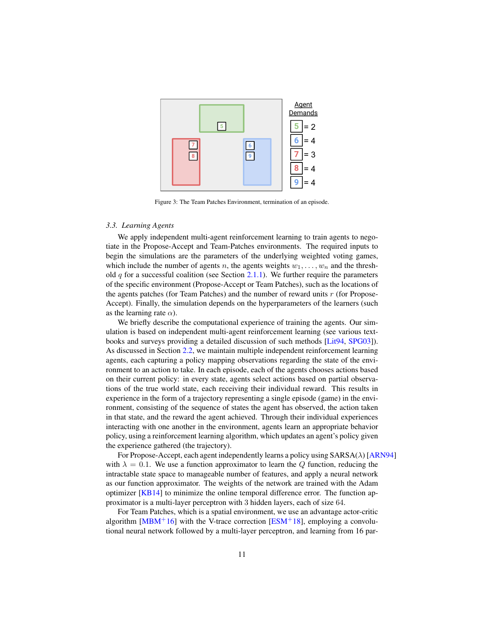<span id="page-10-0"></span>

Figure 3: The Team Patches Environment, termination of an episode.

#### *3.3. Learning Agents*

We apply independent multi-agent reinforcement learning to train agents to negotiate in the Propose-Accept and Team-Patches environments. The required inputs to begin the simulations are the parameters of the underlying weighted voting games, which include the number of agents n, the agents weights  $w_1, \ldots, w_n$  and the threshold  $q$  for a successful coalition (see Section [2.1.1\)](#page-4-0). We further require the parameters of the specific environment (Propose-Accept or Team Patches), such as the locations of the agents patches (for Team Patches) and the number of reward units  $r$  (for Propose-Accept). Finally, the simulation depends on the hyperparameters of the learners (such as the learning rate  $\alpha$ ).

We briefly describe the computational experience of training the agents. Our simulation is based on independent multi-agent reinforcement learning (see various textbooks and surveys providing a detailed discussion of such methods [\[Lit94,](#page-34-9) [SPG03\]](#page-38-8)). As discussed in Section [2.2,](#page-6-0) we maintain multiple independent reinforcement learning agents, each capturing a policy mapping observations regarding the state of the environment to an action to take. In each episode, each of the agents chooses actions based on their current policy: in every state, agents select actions based on partial observations of the true world state, each receiving their individual reward. This results in experience in the form of a trajectory representing a single episode (game) in the environment, consisting of the sequence of states the agent has observed, the action taken in that state, and the reward the agent achieved. Through their individual experiences interacting with one another in the environment, agents learn an appropriate behavior policy, using a reinforcement learning algorithm, which updates an agent's policy given the experience gathered (the trajectory).

For Propose-Accept, each agent independently learns a policy using SARSA(λ) [\[ARN94\]](#page-28-11) with  $\lambda = 0.1$ . We use a function approximator to learn the Q function, reducing the intractable state space to manageable number of features, and apply a neural network as our function approximator. The weights of the network are trained with the Adam optimizer [\[KB14\]](#page-34-11) to minimize the online temporal difference error. The function approximator is a multi-layer perceptron with 3 hidden layers, each of size 64.

For Team Patches, which is a spatial environment, we use an advantage actor-critic algorithm  $[MBM<sup>+</sup>16]$  $[MBM<sup>+</sup>16]$  with the V-trace correction  $[ESM<sup>+</sup>18]$  $[ESM<sup>+</sup>18]$ , employing a convolutional neural network followed by a multi-layer perceptron, and learning from 16 par-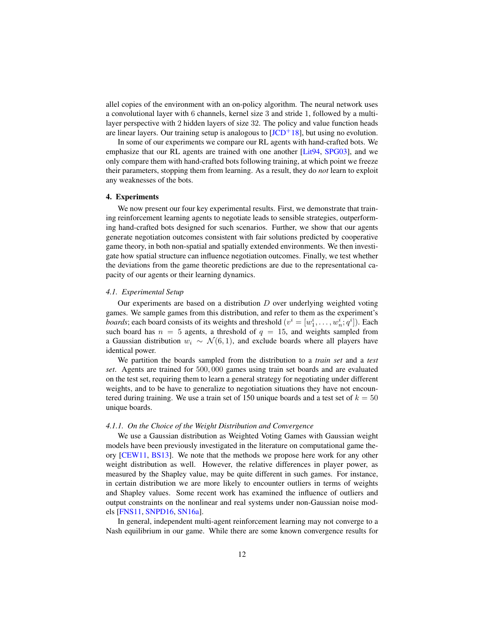allel copies of the environment with an on-policy algorithm. The neural network uses a convolutional layer with 6 channels, kernel size 3 and stride 1, followed by a multilayer perspective with 2 hidden layers of size 32. The policy and value function heads are linear layers. Our training setup is analogous to  $[JCD<sup>+</sup>18]$  $[JCD<sup>+</sup>18]$ , but using no evolution.

In some of our experiments we compare our RL agents with hand-crafted bots. We emphasize that our RL agents are trained with one another [\[Lit94,](#page-34-9) [SPG03\]](#page-38-8), and we only compare them with hand-crafted bots following training, at which point we freeze their parameters, stopping them from learning. As a result, they do *not* learn to exploit any weaknesses of the bots.

# 4. Experiments

We now present our four key experimental results. First, we demonstrate that training reinforcement learning agents to negotiate leads to sensible strategies, outperforming hand-crafted bots designed for such scenarios. Further, we show that our agents generate negotiation outcomes consistent with fair solutions predicted by cooperative game theory, in both non-spatial and spatially extended environments. We then investigate how spatial structure can influence negotiation outcomes. Finally, we test whether the deviations from the game theoretic predictions are due to the representational capacity of our agents or their learning dynamics.

## *4.1. Experimental Setup*

Our experiments are based on a distribution  $D$  over underlying weighted voting games. We sample games from this distribution, and refer to them as the experiment's *boards*; each board consists of its weights and threshold  $(v^i = [w_1^i, \dots, w_n^i; q^i])$ . Each such board has  $n = 5$  agents, a threshold of  $q = 15$ , and weights sampled from a Gaussian distribution  $w_i \sim \mathcal{N}(6, 1)$ , and exclude boards where all players have identical power.

We partition the boards sampled from the distribution to a *train set* and a *test set*. Agents are trained for 500, 000 games using train set boards and are evaluated on the test set, requiring them to learn a general strategy for negotiating under different weights, and to be have to generalize to negotiation situations they have not encountered during training. We use a train set of 150 unique boards and a test set of  $k = 50$ unique boards.

#### <span id="page-11-0"></span>*4.1.1. On the Choice of the Weight Distribution and Convergence*

We use a Gaussian distribution as Weighted Voting Games with Gaussian weight models have been previously investigated in the literature on computational game theory [\[CEW11,](#page-31-1) [BS13\]](#page-30-8). We note that the methods we propose here work for any other weight distribution as well. However, the relative differences in player power, as measured by the Shapley value, may be quite different in such games. For instance, in certain distribution we are more likely to encounter outliers in terms of weights and Shapley values. Some recent work has examined the influence of outliers and output constraints on the nonlinear and real systems under non-Gaussian noise models [\[FNS11,](#page-32-7) [SNPD16,](#page-38-9) [SN16a\]](#page-37-11).

In general, independent multi-agent reinforcement learning may not converge to a Nash equilibrium in our game. While there are some known convergence results for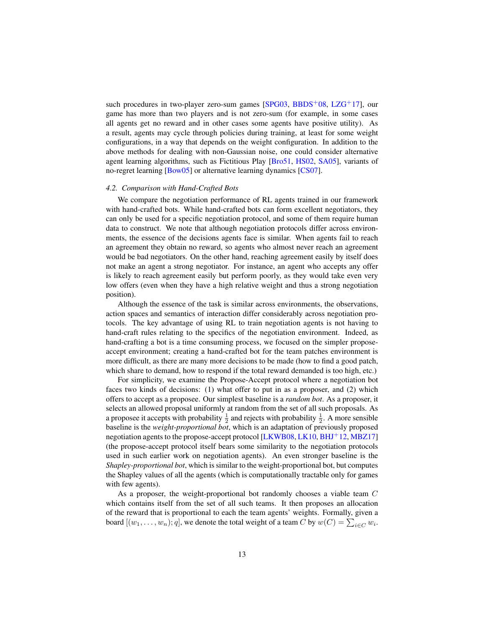such procedures in two-player zero-sum games  $[SPG03, BBDS+08, LZG+17]$  $[SPG03, BBDS+08, LZG+17]$  $[SPG03, BBDS+08, LZG+17]$  $[SPG03, BBDS+08, LZG+17]$  $[SPG03, BBDS+08, LZG+17]$  $[SPG03, BBDS+08, LZG+17]$ , our game has more than two players and is not zero-sum (for example, in some cases all agents get no reward and in other cases some agents have positive utility). As a result, agents may cycle through policies during training, at least for some weight configurations, in a way that depends on the weight configuration. In addition to the above methods for dealing with non-Gaussian noise, one could consider alternative agent learning algorithms, such as Fictitious Play [\[Bro51,](#page-30-9) [HS02,](#page-33-11) [SA05\]](#page-37-12), variants of no-regret learning [\[Bow05\]](#page-30-10) or alternative learning dynamics [\[CS07\]](#page-31-9).

#### *4.2. Comparison with Hand-Crafted Bots*

We compare the negotiation performance of RL agents trained in our framework with hand-crafted bots. While hand-crafted bots can form excellent negotiators, they can only be used for a specific negotiation protocol, and some of them require human data to construct. We note that although negotiation protocols differ across environments, the essence of the decisions agents face is similar. When agents fail to reach an agreement they obtain no reward, so agents who almost never reach an agreement would be bad negotiators. On the other hand, reaching agreement easily by itself does not make an agent a strong negotiator. For instance, an agent who accepts any offer is likely to reach agreement easily but perform poorly, as they would take even very low offers (even when they have a high relative weight and thus a strong negotiation position).

Although the essence of the task is similar across environments, the observations, action spaces and semantics of interaction differ considerably across negotiation protocols. The key advantage of using RL to train negotiation agents is not having to hand-craft rules relating to the specifics of the negotiation environment. Indeed, as hand-crafting a bot is a time consuming process, we focused on the simpler proposeaccept environment; creating a hand-crafted bot for the team patches environment is more difficult, as there are many more decisions to be made (how to find a good patch, which share to demand, how to respond if the total reward demanded is too high, etc.)

For simplicity, we examine the Propose-Accept protocol where a negotiation bot faces two kinds of decisions: (1) what offer to put in as a proposer, and (2) which offers to accept as a proposee. Our simplest baseline is a *random bot*. As a proposer, it selects an allowed proposal uniformly at random from the set of all such proposals. As a proposee it accepts with probability  $\frac{1}{2}$  and rejects with probability  $\frac{1}{2}$ . A more sensible baseline is the *weight-proportional bot*, which is an adaptation of previously proposed negotiation agents to the propose-accept protocol [\[LKWB08,](#page-35-9) [LK10,](#page-35-3) [BHJ](#page-29-9)<sup>+</sup>12, [MBZ17\]](#page-35-10) (the propose-accept protocol itself bears some similarity to the negotiation protocols used in such earlier work on negotiation agents). An even stronger baseline is the *Shapley-proportional bot*, which is similar to the weight-proportional bot, but computes the Shapley values of all the agents (which is computationally tractable only for games with few agents).

As a proposer, the weight-proportional bot randomly chooses a viable team C which contains itself from the set of all such teams. It then proposes an allocation of the reward that is proportional to each the team agents' weights. Formally, given a board  $[(w_1, \ldots, w_n); q]$ , we denote the total weight of a team C by  $w(C) = \sum_{i \in C} w_i$ .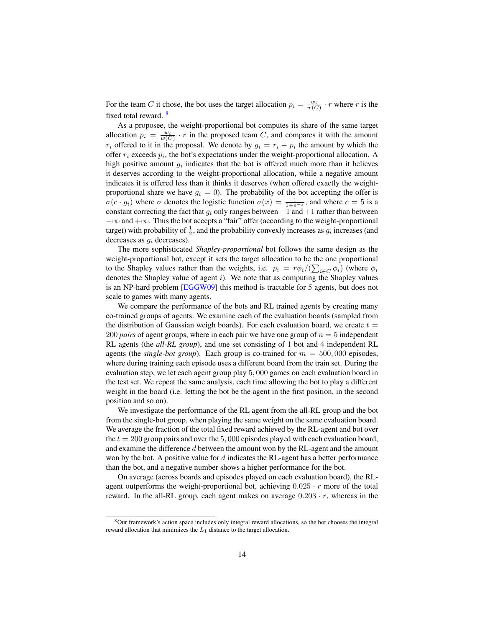For the team C it chose, the bot uses the target allocation  $p_i = \frac{w_i}{w(C)} \cdot r$  where r is the fixed total reward. <sup>[8](#page-13-0)</sup>

As a proposee, the weight-proportional bot computes its share of the same target allocation  $p_i = \frac{w_i}{w(C)} \cdot r$  in the proposed team C, and compares it with the amount  $r_i$  offered to it in the proposal. We denote by  $g_i = r_i - p_i$  the amount by which the offer  $r_i$  exceeds  $p_i$ , the bot's expectations under the weight-proportional allocation. A high positive amount  $g_i$  indicates that the bot is offered much more than it believes it deserves according to the weight-proportional allocation, while a negative amount indicates it is offered less than it thinks it deserves (when offered exactly the weightproportional share we have  $g_i = 0$ ). The probability of the bot accepting the offer is  $\sigma(c \cdot g_i)$  where  $\sigma$  denotes the logistic function  $\sigma(x) = \frac{1}{1+e^{-x}}$ , and where  $c = 5$  is a constant correcting the fact that  $g_i$  only ranges between  $-1$  and  $+1$  rather than between  $-\infty$  and  $+\infty$ . Thus the bot accepts a "fair" offer (according to the weight-proportional target) with probability of  $\frac{1}{2}$ , and the probability convexly increases as  $g_i$  increases (and decreases as  $g_i$  decreases).

The more sophisticated *Shapley-proportional* bot follows the same design as the weight-proportional bot, except it sets the target allocation to be the one proportional to the Shapley values rather than the weights, i.e.  $p_i = r\phi_i/(\sum_{i \in C} \phi_i)$  (where  $\phi_i$ denotes the Shapley value of agent i). We note that as computing the Shapley values is an NP-hard problem [\[EGGW09\]](#page-32-8) this method is tractable for 5 agents, but does not scale to games with many agents.

We compare the performance of the bots and RL trained agents by creating many co-trained groups of agents. We examine each of the evaluation boards (sampled from the distribution of Gaussian weigh boards). For each evaluation board, we create  $t =$ 200 *pairs* of agent groups, where in each pair we have one group of  $n = 5$  independent RL agents (the *all-RL group*), and one set consisting of 1 bot and 4 independent RL agents (the *single-bot group*). Each group is co-trained for  $m = 500,000$  episodes, where during training each episode uses a different board from the train set. During the evaluation step, we let each agent group play 5, 000 games on each evaluation board in the test set. We repeat the same analysis, each time allowing the bot to play a different weight in the board (i.e. letting the bot be the agent in the first position, in the second position and so on).

We investigate the performance of the RL agent from the all-RL group and the bot from the single-bot group, when playing the same weight on the same evaluation board. We average the fraction of the total fixed reward achieved by the RL-agent and bot over the  $t = 200$  group pairs and over the 5,000 episodes played with each evaluation board, and examine the difference d between the amount won by the RL-agent and the amount won by the bot. A positive value for  $d$  indicates the RL-agent has a better performance than the bot, and a negative number shows a higher performance for the bot.

On average (across boards and episodes played on each evaluation board), the RLagent outperforms the weight-proportional bot, achieving  $0.025 \cdot r$  more of the total reward. In the all-RL group, each agent makes on average  $0.203 \cdot r$ , whereas in the

<span id="page-13-0"></span><sup>8</sup>Our framework's action space includes only integral reward allocations, so the bot chooses the integral reward allocation that minimizes the  $L_1$  distance to the target allocation.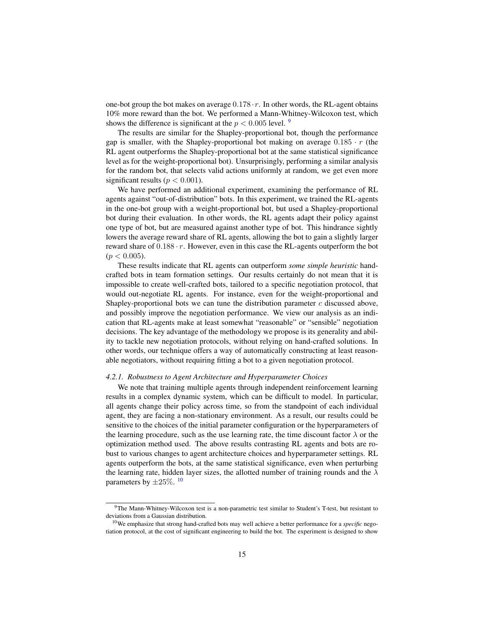one-bot group the bot makes on average  $0.178 \cdot r$ . In other words, the RL-agent obtains 10% more reward than the bot. We performed a Mann-Whitney-Wilcoxon test, which shows the difference is significant at the  $p < 0.005$  level.

The results are similar for the Shapley-proportional bot, though the performance gap is smaller, with the Shapley-proportional bot making on average  $0.185 \cdot r$  (the RL agent outperforms the Shapley-proportional bot at the same statistical significance level as for the weight-proportional bot). Unsurprisingly, performing a similar analysis for the random bot, that selects valid actions uniformly at random, we get even more significant results ( $p < 0.001$ ).

We have performed an additional experiment, examining the performance of RL agents against "out-of-distribution" bots. In this experiment, we trained the RL-agents in the one-bot group with a weight-proportional bot, but used a Shapley-proportional bot during their evaluation. In other words, the RL agents adapt their policy against one type of bot, but are measured against another type of bot. This hindrance sightly lowers the average reward share of RL agents, allowing the bot to gain a slightly larger reward share of  $0.188 \cdot r$ . However, even in this case the RL-agents outperform the bot  $(p < 0.005)$ .

These results indicate that RL agents can outperform *some simple heuristic* handcrafted bots in team formation settings. Our results certainly do not mean that it is impossible to create well-crafted bots, tailored to a specific negotiation protocol, that would out-negotiate RL agents. For instance, even for the weight-proportional and Shapley-proportional bots we can tune the distribution parameter  $c$  discussed above, and possibly improve the negotiation performance. We view our analysis as an indication that RL-agents make at least somewhat "reasonable" or "sensible" negotiation decisions. The key advantage of the methodology we propose is its generality and ability to tackle new negotiation protocols, without relying on hand-crafted solutions. In other words, our technique offers a way of automatically constructing at least reasonable negotiators, without requiring fitting a bot to a given negotiation protocol.

# *4.2.1. Robustness to Agent Architecture and Hyperparameter Choices*

We note that training multiple agents through independent reinforcement learning results in a complex dynamic system, which can be difficult to model. In particular, all agents change their policy across time, so from the standpoint of each individual agent, they are facing a non-stationary environment. As a result, our results could be sensitive to the choices of the initial parameter configuration or the hyperparameters of the learning procedure, such as the use learning rate, the time discount factor  $\lambda$  or the optimization method used. The above results contrasting RL agents and bots are robust to various changes to agent architecture choices and hyperparameter settings. RL agents outperform the bots, at the same statistical significance, even when perturbing the learning rate, hidden layer sizes, the allotted number of training rounds and the  $\lambda$ parameters by  $\pm 25\%$ . <sup>[10](#page-14-1)</sup>

<span id="page-14-0"></span><sup>&</sup>lt;sup>9</sup>The Mann-Whitney-Wilcoxon test is a non-parametric test similar to Student's T-test, but resistant to deviations from a Gaussian distribution.

<span id="page-14-1"></span><sup>10</sup>We emphasize that strong hand-crafted bots may well achieve a better performance for a *specific* negotiation protocol, at the cost of significant engineering to build the bot. The experiment is designed to show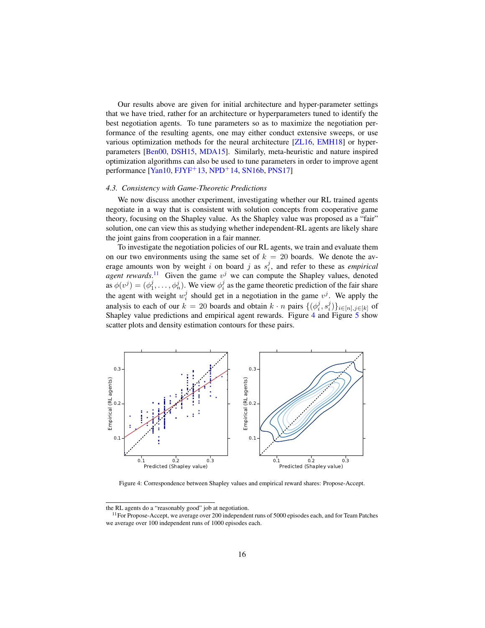Our results above are given for initial architecture and hyper-parameter settings that we have tried, rather for an architecture or hyperparameters tuned to identify the best negotiation agents. To tune parameters so as to maximize the negotiation performance of the resulting agents, one may either conduct extensive sweeps, or use various optimization methods for the neural architecture [\[ZL16,](#page-39-3) [EMH18\]](#page-32-9) or hyperparameters [\[Ben00,](#page-29-10) [DSH15,](#page-31-10) [MDA15\]](#page-36-8). Similarly, meta-heuristic and nature inspired optimization algorithms can also be used to tune parameters in order to improve agent performance  $[Yan10, FYF^+13, NPD^+14, SN16b, PNS17]$  $[Yan10, FYF^+13, NPD^+14, SN16b, PNS17]$  $[Yan10, FYF^+13, NPD^+14, SN16b, PNS17]$  $[Yan10, FYF^+13, NPD^+14, SN16b, PNS17]$  $[Yan10, FYF^+13, NPD^+14, SN16b, PNS17]$  $[Yan10, FYF^+13, NPD^+14, SN16b, PNS17]$  $[Yan10, FYF^+13, NPD^+14, SN16b, PNS17]$ 

## <span id="page-15-2"></span>*4.3. Consistency with Game-Theoretic Predictions*

We now discuss another experiment, investigating whether our RL trained agents negotiate in a way that is consistent with solution concepts from cooperative game theory, focusing on the Shapley value. As the Shapley value was proposed as a "fair" solution, one can view this as studying whether independent-RL agents are likely share the joint gains from cooperation in a fair manner.

To investigate the negotiation policies of our RL agents, we train and evaluate them on our two environments using the same set of  $k = 20$  boards. We denote the average amounts won by weight i on board j as  $s_i^j$ , and refer to these as *empirical agent rewards*.<sup>[11](#page-15-0)</sup> Given the game  $v^j$  we can compute the Shapley values, denoted as  $\phi(v^j) = (\phi_1^j, \dots, \phi_n^j)$ . We view  $\phi_i^j$  as the game theoretic prediction of the fair share the agent with weight  $w_i^j$  should get in a negotiation in the game  $v^j$ . We apply the analysis to each of our  $k = 20$  boards and obtain  $k \cdot n$  pairs  $\{(\phi_i^j, s_i^j)\}_{i \in [n], j \in [k]}$  of Shapley value predictions and empirical agent rewards. Figure [4](#page-15-1) and Figure [5](#page-16-0) show scatter plots and density estimation contours for these pairs.

<span id="page-15-1"></span>

Figure 4: Correspondence between Shapley values and empirical reward shares: Propose-Accept.

the RL agents do a "reasonably good" job at negotiation.

<span id="page-15-0"></span> $11$  For Propose-Accept, we average over 200 independent runs of 5000 episodes each, and for Team Patches we average over 100 independent runs of 1000 episodes each.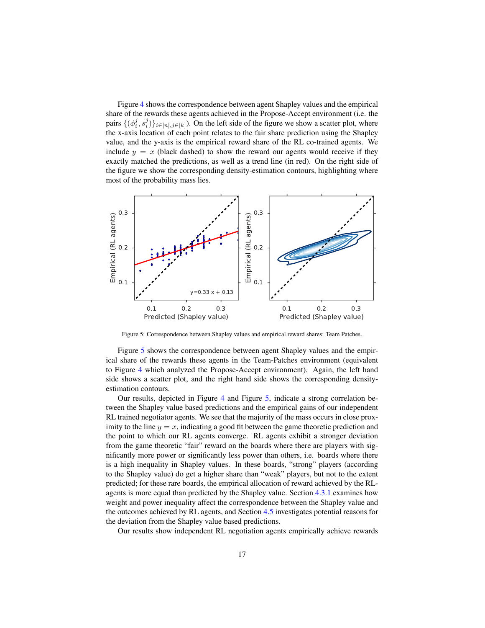Figure [4](#page-15-1) shows the correspondence between agent Shapley values and the empirical share of the rewards these agents achieved in the Propose-Accept environment (i.e. the pairs  $\{(\phi_i^j, s_i^j)\}_{i \in [n], j \in [k]}$ ). On the left side of the figure we show a scatter plot, where the x-axis location of each point relates to the fair share prediction using the Shapley value, and the y-axis is the empirical reward share of the RL co-trained agents. We include  $y = x$  (black dashed) to show the reward our agents would receive if they exactly matched the predictions, as well as a trend line (in red). On the right side of the figure we show the corresponding density-estimation contours, highlighting where most of the probability mass lies.

<span id="page-16-0"></span>

Figure 5: Correspondence between Shapley values and empirical reward shares: Team Patches.

Figure [5](#page-16-0) shows the correspondence between agent Shapley values and the empirical share of the rewards these agents in the Team-Patches environment (equivalent to Figure [4](#page-15-1) which analyzed the Propose-Accept environment). Again, the left hand side shows a scatter plot, and the right hand side shows the corresponding densityestimation contours.

Our results, depicted in Figure [4](#page-15-1) and Figure [5,](#page-16-0) indicate a strong correlation between the Shapley value based predictions and the empirical gains of our independent RL trained negotiator agents. We see that the majority of the mass occurs in close proximity to the line  $y = x$ , indicating a good fit between the game theoretic prediction and the point to which our RL agents converge. RL agents exhibit a stronger deviation from the game theoretic "fair" reward on the boards where there are players with significantly more power or significantly less power than others, i.e. boards where there is a high inequality in Shapley values. In these boards, "strong" players (according to the Shapley value) do get a higher share than "weak" players, but not to the extent predicted; for these rare boards, the empirical allocation of reward achieved by the RLagents is more equal than predicted by the Shapley value. Section [4.3.1](#page-17-0) examines how weight and power inequality affect the correspondence between the Shapley value and the outcomes achieved by RL agents, and Section [4.5](#page-19-0) investigates potential reasons for the deviation from the Shapley value based predictions.

Our results show independent RL negotiation agents empirically achieve rewards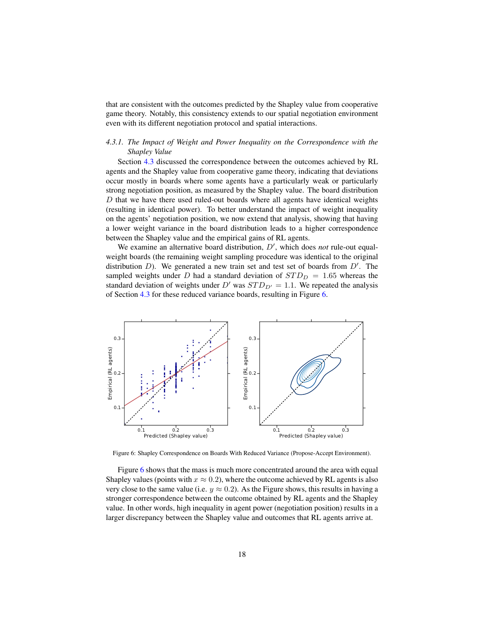that are consistent with the outcomes predicted by the Shapley value from cooperative game theory. Notably, this consistency extends to our spatial negotiation environment even with its different negotiation protocol and spatial interactions.

# <span id="page-17-0"></span>*4.3.1. The Impact of Weight and Power Inequality on the Correspondence with the Shapley Value*

Section [4.3](#page-15-2) discussed the correspondence between the outcomes achieved by RL agents and the Shapley value from cooperative game theory, indicating that deviations occur mostly in boards where some agents have a particularly weak or particularly strong negotiation position, as measured by the Shapley value. The board distribution  $D$  that we have there used ruled-out boards where all agents have identical weights (resulting in identical power). To better understand the impact of weight inequality on the agents' negotiation position, we now extend that analysis, showing that having a lower weight variance in the board distribution leads to a higher correspondence between the Shapley value and the empirical gains of RL agents.

We examine an alternative board distribution, D', which does not rule-out equalweight boards (the remaining weight sampling procedure was identical to the original distribution  $D$ ). We generated a new train set and test set of boards from  $D'$ . The sampled weights under D had a standard deviation of  $STD_D = 1.65$  whereas the standard deviation of weights under  $D'$  was  $STD_{D'} = 1.1$ . We repeated the analysis of Section [4.3](#page-15-2) for these reduced variance boards, resulting in Figure [6.](#page-17-1)

<span id="page-17-1"></span>

Figure 6: Shapley Correspondence on Boards With Reduced Variance (Propose-Accept Environment).

Figure [6](#page-17-1) shows that the mass is much more concentrated around the area with equal Shapley values (points with  $x \approx 0.2$ ), where the outcome achieved by RL agents is also very close to the same value (i.e.  $y \approx 0.2$ ). As the Figure shows, this results in having a stronger correspondence between the outcome obtained by RL agents and the Shapley value. In other words, high inequality in agent power (negotiation position) results in a larger discrepancy between the Shapley value and outcomes that RL agents arrive at.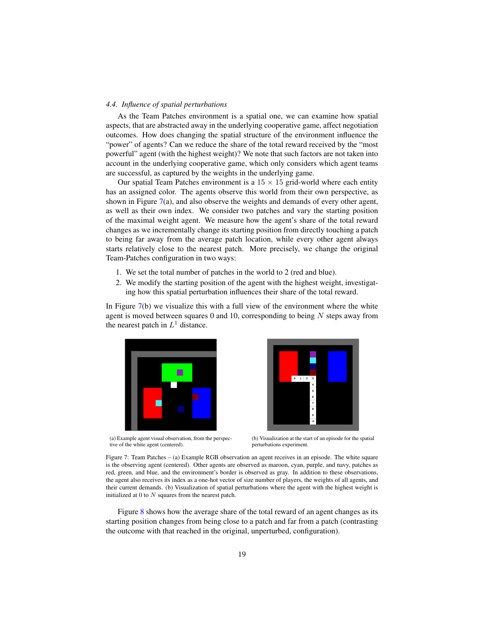## *4.4. Influence of spatial perturbations*

As the Team Patches environment is a spatial one, we can examine how spatial aspects, that are abstracted away in the underlying cooperative game, affect negotiation outcomes. How does changing the spatial structure of the environment influence the "power" of agents? Can we reduce the share of the total reward received by the "most powerful" agent (with the highest weight)? We note that such factors are not taken into account in the underlying cooperative game, which only considers which agent teams are successful, as captured by the weights in the underlying game.

Our spatial Team Patches environment is a  $15 \times 15$  grid-world where each entity has an assigned color. The agents observe this world from their own perspective, as shown in Figure  $7(a)$  $7(a)$ , and also observe the weights and demands of every other agent, as well as their own index. We consider two patches and vary the starting position of the maximal weight agent. We measure how the agent's share of the total reward changes as we incrementally change its starting position from directly touching a patch to being far away from the average patch location, while every other agent always starts relatively close to the nearest patch. More precisely, we change the original Team-Patches configuration in two ways:

- 1. We set the total number of patches in the world to 2 (red and blue).
- 2. We modify the starting position of the agent with the highest weight, investigating how this spatial perturbation influences their share of the total reward.

In Figure  $7(b)$  $7(b)$  we visualize this with a full view of the environment where the white agent is moved between squares 0 and 10, corresponding to being  $N$  steps away from the nearest patch in  $L^1$  distance.

<span id="page-18-0"></span>

(a) Example agent visual observation, from the perspective of the white agent (centered).



(b) Visualization at the start of an episode for the spatial perturbations experiment.

Figure 7: Team Patches – (a) Example RGB observation an agent receives in an episode. The white square is the observing agent (centered). Other agents are observed as maroon, cyan, purple, and navy, patches as red, green, and blue, and the environment's border is observed as gray. In addition to these observations, the agent also receives its index as a one-hot vector of size number of players, the weights of all agents, and their current demands. (b) Visualization of spatial perturbations where the agent with the highest weight is initialized at 0 to N squares from the nearest patch.

Figure [8](#page-19-1) shows how the average share of the total reward of an agent changes as its starting position changes from being close to a patch and far from a patch (contrasting the outcome with that reached in the original, unperturbed, configuration).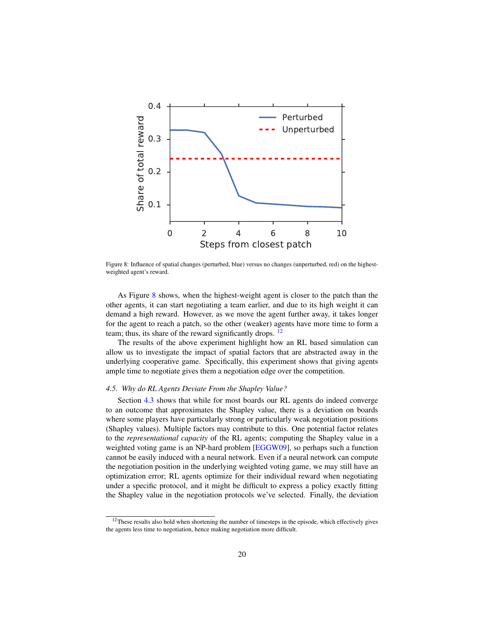<span id="page-19-1"></span>

Figure 8: Influence of spatial changes (perturbed, blue) versus no changes (unperturbed, red) on the highestweighted agent's reward.

As Figure [8](#page-19-1) shows, when the highest-weight agent is closer to the patch than the other agents, it can start negotiating a team earlier, and due to its high weight it can demand a high reward. However, as we move the agent further away, it takes longer for the agent to reach a patch, so the other (weaker) agents have more time to form a team; thus, its share of the reward significantly drops. <sup>[12](#page-19-2)</sup>

The results of the above experiment highlight how an RL based simulation can allow us to investigate the impact of spatial factors that are abstracted away in the underlying cooperative game. Specifically, this experiment shows that giving agents ample time to negotiate gives them a negotiation edge over the competition.

# <span id="page-19-0"></span>*4.5. Why do RL Agents Deviate From the Shapley Value?*

Section [4.3](#page-15-2) shows that while for most boards our RL agents do indeed converge to an outcome that approximates the Shapley value, there is a deviation on boards where some players have particularly strong or particularly weak negotiation positions (Shapley values). Multiple factors may contribute to this. One potential factor relates to the *representational capacity* of the RL agents; computing the Shapley value in a weighted voting game is an NP-hard problem [\[EGGW09\]](#page-32-8), so perhaps such a function cannot be easily induced with a neural network. Even if a neural network can compute the negotiation position in the underlying weighted voting game, we may still have an optimization error; RL agents optimize for their individual reward when negotiating under a specific protocol, and it might be difficult to express a policy exactly fitting the Shapley value in the negotiation protocols we've selected. Finally, the deviation

<span id="page-19-2"></span><sup>&</sup>lt;sup>12</sup>These results also hold when shortening the number of timesteps in the episode, which effectively gives the agents less time to negotiation, hence making negotiation more difficult.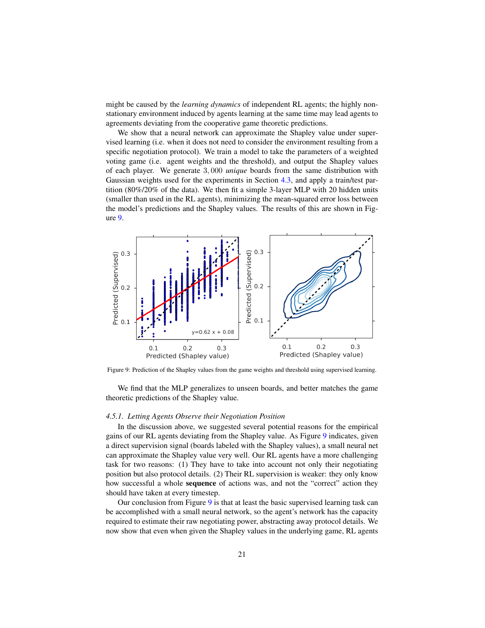might be caused by the *learning dynamics* of independent RL agents; the highly nonstationary environment induced by agents learning at the same time may lead agents to agreements deviating from the cooperative game theoretic predictions.

We show that a neural network can approximate the Shapley value under supervised learning (i.e. when it does not need to consider the environment resulting from a specific negotiation protocol). We train a model to take the parameters of a weighted voting game (i.e. agent weights and the threshold), and output the Shapley values of each player. We generate 3, 000 *unique* boards from the same distribution with Gaussian weights used for the experiments in Section [4.3,](#page-15-2) and apply a train/test partition (80%/20% of the data). We then fit a simple 3-layer MLP with 20 hidden units (smaller than used in the RL agents), minimizing the mean-squared error loss between the model's predictions and the Shapley values. The results of this are shown in Figure [9.](#page-20-0)

<span id="page-20-0"></span>

Figure 9: Prediction of the Shapley values from the game weights and threshold using supervised learning.

We find that the MLP generalizes to unseen boards, and better matches the game theoretic predictions of the Shapley value.

#### *4.5.1. Letting Agents Observe their Negotiation Position*

In the discussion above, we suggested several potential reasons for the empirical gains of our RL agents deviating from the Shapley value. As Figure [9](#page-20-0) indicates, given a direct supervision signal (boards labeled with the Shapley values), a small neural net can approximate the Shapley value very well. Our RL agents have a more challenging task for two reasons: (1) They have to take into account not only their negotiating position but also protocol details. (2) Their RL supervision is weaker: they only know how successful a whole sequence of actions was, and not the "correct" action they should have taken at every timestep.

Our conclusion from Figure [9](#page-20-0) is that at least the basic supervised learning task can be accomplished with a small neural network, so the agent's network has the capacity required to estimate their raw negotiating power, abstracting away protocol details. We now show that even when given the Shapley values in the underlying game, RL agents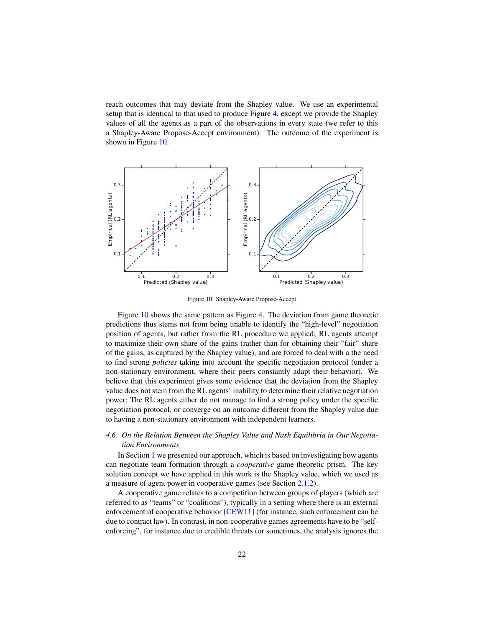reach outcomes that may deviate from the Shapley value. We use an experimental setup that is identical to that used to produce Figure [4,](#page-15-1) except we provide the Shapley values of all the agents as a part of the observations in every state (we refer to this a Shapley-Aware Propose-Accept environment). The outcome of the experiment is shown in Figure [10.](#page-21-1)

<span id="page-21-1"></span>

Figure 10: Shapley-Aware Propose-Accept

Figure [10](#page-21-1) shows the same pattern as Figure [4.](#page-15-1) The deviation from game theoretic predictions thus stems not from being unable to identify the "high-level" negotiation position of agents, but rather from the RL procedure we applied; RL agents attempt to maximize their own share of the gains (rather than for obtaining their "fair" share of the gains, as captured by the Shapley value), and are forced to deal with a the need to find strong *policies* taking into account the specific negotiation protocol (under a non-stationary environment, where their peers constantly adapt their behavior). We believe that this experiment gives some evidence that the deviation from the Shapley value does not stem from the RL agents' inability to determine their relative negotiation power; The RL agents either do not manage to find a strong policy under the specific negotiation protocol, or converge on an outcome different from the Shapley value due to having a non-stationary environment with independent learners.

# <span id="page-21-0"></span>*4.6. On the Relation Between the Shapley Value and Nash Equilibria in Our Negotiation Environments*

In Section [1](#page-0-0) we presented our approach, which is based on investigating how agents can negotiate team formation through a *cooperative* game theoretic prism. The key solution concept we have applied in this work is the Shapley value, which we used as a measure of agent power in cooperative games (see Section [2.1.2\)](#page-4-1).

A cooperative game relates to a competition between groups of players (which are referred to as "teams" or "coalitions"), typically in a setting where there is an external enforcement of cooperative behavior [\[CEW11\]](#page-31-1) (for instance, such enforcement can be due to contract law). In contrast, in non-cooperative games agreements have to be "selfenforcing", for instance due to credible threats (or sometimes, the analysis ignores the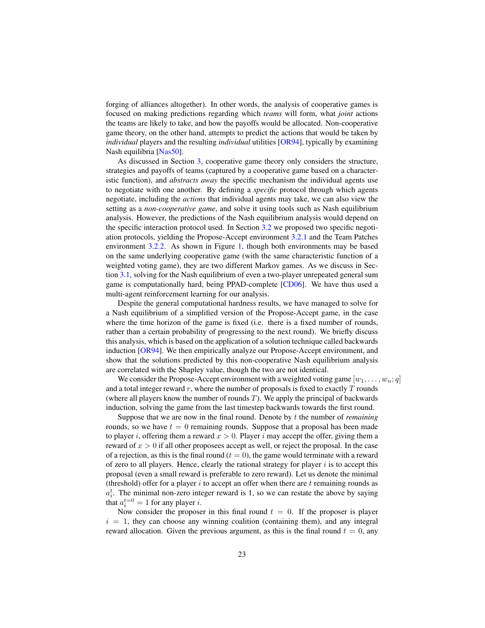forging of alliances altogether). In other words, the analysis of cooperative games is focused on making predictions regarding which *teams* will form, what *joint* actions the teams are likely to take, and how the payoffs would be allocated. Non-cooperative game theory, on the other hand, attempts to predict the actions that would be taken by *individual* players and the resulting *individual* utilities [\[OR94\]](#page-36-6), typically by examining Nash equilibria [\[Nas50\]](#page-36-11).

As discussed in Section [3,](#page-6-1) cooperative game theory only considers the structure, strategies and payoffs of teams (captured by a cooperative game based on a characteristic function), and *abstracts away* the specific mechanism the individual agents use to negotiate with one another. By defining a *specific* protocol through which agents negotiate, including the *actions* that individual agents may take, we can also view the setting as a *non-cooperative game*, and solve it using tools such as Nash equilibrium analysis. However, the predictions of the Nash equilibrium analysis would depend on the specific interaction protocol used. In Section [3.2](#page-7-1) we proposed two specific negotiation protocols, yielding the Propose-Accept environment [3.2.1](#page-8-0) and the Team Patches environment [3.2.2.](#page-8-1) As shown in Figure [1,](#page-7-0) though both environments may be based on the same underlying cooperative game (with the same characteristic function of a weighted voting game), they are two different Markov games. As we discuss in Section [3.1,](#page-6-2) solving for the Nash equilibrium of even a two-player unrepeated general sum game is computationally hard, being PPAD-complete [\[CD06\]](#page-31-8). We have thus used a multi-agent reinforcement learning for our analysis.

Despite the general computational hardness results, we have managed to solve for a Nash equilibrium of a simplified version of the Propose-Accept game, in the case where the time horizon of the game is fixed (i.e. there is a fixed number of rounds, rather than a certain probability of progressing to the next round). We briefly discuss this analysis, which is based on the application of a solution technique called backwards induction [\[OR94\]](#page-36-6). We then empirically analyze our Propose-Accept environment, and show that the solutions predicted by this non-cooperative Nash equilibrium analysis are correlated with the Shapley value, though the two are not identical.

We consider the Propose-Accept environment with a weighted voting game  $[w_1, \ldots, w_n; q]$ and a total integer reward  $r$ , where the number of proposals is fixed to exactly  $T$  rounds (where all players know the number of rounds  $T$ ). We apply the principal of backwards induction, solving the game from the last timestep backwards towards the first round.

Suppose that we are now in the final round. Denote by t the number of *remaining* rounds, so we have  $t = 0$  remaining rounds. Suppose that a proposal has been made to player i, offering them a reward  $x > 0$ . Player i may accept the offer, giving them a reward of  $x > 0$  if all other proposees accept as well, or reject the proposal. In the case of a rejection, as this is the final round ( $t = 0$ ), the game would terminate with a reward of zero to all players. Hence, clearly the rational strategy for player  $i$  is to accept this proposal (even a small reward is preferable to zero reward). Let us denote the minimal (threshold) offer for a player i to accept an offer when there are t remaining rounds as  $a_i^t$ . The minimal non-zero integer reward is 1, so we can restate the above by saying that  $a_i^{t=0} = 1$  for any player *i*.

Now consider the proposer in this final round  $t = 0$ . If the proposer is player  $i = 1$ , they can choose any winning coalition (containing them), and any integral reward allocation. Given the previous argument, as this is the final round  $t = 0$ , any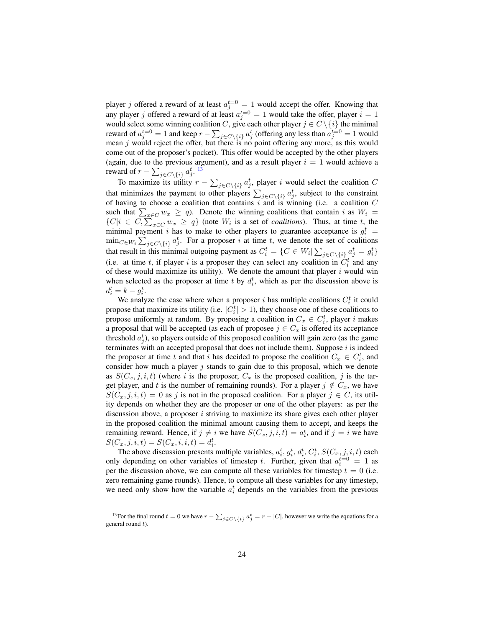player j offered a reward of at least  $a_j^{t=0} = 1$  would accept the offer. Knowing that any player j offered a reward of at least  $a_j^{t=0} = 1$  would take the offer, player  $i = 1$ would select some winning coalition C, give each other player  $j \in C \setminus \{i\}$  the minimal reward of  $a_j^{t=0} = 1$  and keep  $r - \sum_{j \in C \setminus \{i\}} a_j^t$  (offering any less than  $a_j^{t=0} = 1$  would mean j would reject the offer, but there is no point offering any more, as this would come out of the proposer's pocket). This offer would be accepted by the other players (again, due to the previous argument), and as a result player  $i = 1$  would achieve a reward of  $r - \sum_{j \in C \setminus \{i\}} a_j^t$ . <sup>[13](#page-23-0)</sup>

To maximize its utility  $r - \sum_{j \in C \setminus \{i\}} a_j^t$ , player i would select the coalition C that minimizes the payment to other players  $\sum_{j \in C \setminus \{i\}} a_j^t$ , subject to the constraint of having to choose a coalition that contains  $i$  and is winning (i.e. a coalition  $C$ such that  $\sum_{x \in C} w_x \ge q$ . Denote the winning coalitions that contain i as  $W_i =$  $\{C|i \in C, \sum_{x \in C} w_x \geq q\}$  (note  $W_i$  is a set of *coalitions*). Thus, at time t, the minimal payment *i* has to make to other players to guarantee acceptance is  $g_i^t$  =  $\min_{C \in W_i} \sum_{j \in C \setminus \{i\}} a_j^t$ . For a proposer i at time t, we denote the set of coalitions that result in this minimal outgoing payment as  $C_i^t = \{ C \in W_i | \sum_{j \in C \setminus \{i\}} a_j^t = g_i^t \}$ (i.e. at time t, if player i is a proposer they can select any coalition in  $C_i^t$  and any of these would maximize its utility). We denote the amount that player  $i$  would win when selected as the proposer at time t by  $d_i^t$ , which as per the discussion above is  $d_i^t = k - g_i^t$ .

We analyze the case where when a proposer i has multiple coalitions  $C_i^t$  it could propose that maximize its utility (i.e.  $|C_i^t| > 1$ ), they choose one of these coalitions to propose uniformly at random. By proposing a coalition in  $C_x \in C_i^t$ , player i makes a proposal that will be accepted (as each of proposee  $j \in C_x$  is offered its acceptance threshold  $a_j^t$ ), so players outside of this proposed coalition will gain zero (as the game terminates with an accepted proposal that does not include them). Suppose  $i$  is indeed the proposer at time t and that i has decided to propose the coalition  $C_x \in C_i^t$ , and consider how much a player  $j$  stands to gain due to this proposal, which we denote as  $S(C_x, j, i, t)$  (where i is the proposer,  $C_x$  is the proposed coalition, j is the target player, and t is the number of remaining rounds). For a player  $j \notin C_x$ , we have  $S(C_x, j, i, t) = 0$  as j is not in the proposed coalition. For a player  $j \in C$ , its utility depends on whether they are the proposer or one of the other players: as per the discussion above, a proposer  $i$  striving to maximize its share gives each other player in the proposed coalition the minimal amount causing them to accept, and keeps the remaining reward. Hence, if  $j \neq i$  we have  $S(C_x, j, i, t) = a_i^t$ , and if  $j = i$  we have  $S(C_x, j, i, t) = S(C_x, i, i, t) = d_i^t.$ 

The above discussion presents multiple variables,  $a_i^t$ ,  $g_i^t$ ,  $d_i^t$ ,  $C_i^t$ ,  $S(C_x, j, i, t)$  each only depending on other variables of timestep t. Further, given that  $a_i^{t=0} = 1$  as per the discussion above, we can compute all these variables for timestep  $t = 0$  (i.e. zero remaining game rounds). Hence, to compute all these variables for any timestep, we need only show how the variable  $a_i^t$  depends on the variables from the previous

<span id="page-23-0"></span><sup>&</sup>lt;sup>13</sup>For the final round  $t = 0$  we have  $r - \sum_{j \in C \setminus \{i\}} a_j^t = r - |C|$ , however we write the equations for a general round  $t$ ).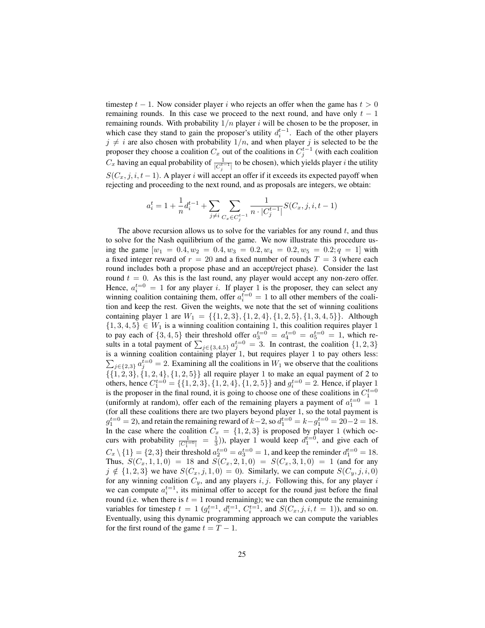timestep  $t - 1$ . Now consider player i who rejects an offer when the game has  $t > 0$ remaining rounds. In this case we proceed to the next round, and have only  $t - 1$ remaining rounds. With probability  $1/n$  player i will be chosen to be the proposer, in which case they stand to gain the proposer's utility  $d_i^{t-1}$ . Each of the other players  $j \neq i$  are also chosen with probability  $1/n$ , and when player j is selected to be the proposer they choose a coalition  $C_x$  out of the coalitions in  $C_j^{t-1}$  (with each coalition  $C_x$  having an equal probability of  $\frac{1}{|C_j^{t-1}|}$  to be chosen), which yields player *i* the utility  $S(C_x, j, i, t - 1)$ . A player i will accept an offer if it exceeds its expected payoff when rejecting and proceeding to the next round, and as proposals are integers, we obtain:

$$
a_i^t = 1 + \frac{1}{n} d_i^{t-1} + \sum_{j \neq i} \sum_{C_x \in C_j^{t-1}} \frac{1}{n \cdot |C_j^{t-1}|} S(C_x, j, i, t-1)
$$

The above recursion allows us to solve for the variables for any round  $t$ , and thus to solve for the Nash equilibrium of the game. We now illustrate this procedure using the game  $[w_1 = 0.4, w_2 = 0.4, w_3 = 0.2, w_4 = 0.2, w_5 = 0.2; q = 1]$  with a fixed integer reward of  $r = 20$  and a fixed number of rounds  $T = 3$  (where each round includes both a propose phase and an accept/reject phase). Consider the last round  $t = 0$ . As this is the last round, any player would accept any non-zero offer. Hence,  $a_i^{t=0} = 1$  for any player i. If player 1 is the proposer, they can select any winning coalition containing them, offer  $a_i^{t=0} = 1$  to all other members of the coalition and keep the rest. Given the weights, we note that the set of winning coalitions containing player 1 are  $W_1 = \{ \{1, 2, 3\}, \{1, 2, 4\}, \{1, 2, 5\}, \{1, 3, 4, 5\} \}$ . Although  $\{1, 3, 4, 5\} \in W_1$  is a winning coalition containing 1, this coalition requires player 1 to pay each of  $\{3, 4, 5\}$  their threshold offer  $a_3^{t=0} = a_4^{t=0} = a_5^{t=0} = 1$ , which results in a total payment of  $\sum_{j \in \{3,4,5\}} a_j^{t=0} = 3$ . In contrast, the coalition  $\{1,2,3\}$ is a winning coalition containing player P 1, but requires player 1 to pay others less:  $j \in \{2,3\}$   $a_j^{t=0} = 2$ . Examining all the coalitions in  $W_1$  we observe that the coalitions  $\{\{1, 2, 3\}, \{1, 2, 4\}, \{1, 2, 5\}\}\$ all require player 1 to make an equal payment of 2 to others, hence  $C_1^{t=0} = \{\{1, 2, 3\}, \{1, 2, 4\}, \{1, 2, 5\}\}\$  and  $g_i^{t=0} = 2$ . Hence, if player 1 is the proposer in the final round, it is going to choose one of these coalitions in  $C_1^{t=0}$ (uniformly at random), offer each of the remaining players a payment of  $a_1^{t=0} = 1$ (for all these coalitions there are two players beyond player 1, so the total payment is  $g_1^{t=0} = 2$ ), and retain the remaining reward of  $k-2$ , so  $d_1^{t=0} = k - g_1^{t=0} = 20-2 = 18$ . In the case where the coalition  $C_x = \{1,2,3\}$  is proposed by player 1 (which occurs with probability  $\frac{1}{|C_1^{t=0}|} = \frac{1}{3}$ ), player 1 would keep  $d_1^{t=0}$ , and give each of  $C_x \setminus \{1\} = \{2, 3\}$  their threshold  $a_2^{t=0} = a_3^{t=0} = 1$ , and keep the reminder  $d_1^{t=0} = 18$ . Thus,  $S(C_x, 1, 1, 0) = 18$  and  $S(C_x, 2, 1, 0) = S(C_x, 3, 1, 0) = 1$  (and for any  $j \notin \{1, 2, 3\}$  we have  $S(C_x, j, 1, 0) = 0$ ). Similarly, we can compute  $S(C_y, j, i, 0)$ for any winning coalition  $C_y$ , and any players i, j. Following this, for any player i we can compute  $a_i^{t=1}$ , its minimal offer to accept for the round just before the final round (i.e. when there is  $t = 1$  round remaining); we can then compute the remaining variables for timestep  $t = 1$  ( $g_i^{t=1}$ ,  $d_i^{t=1}$ ,  $C_i^{t=1}$ , and  $S(C_x, j, i, t = 1)$ ), and so on. Eventually, using this dynamic programming approach we can compute the variables for the first round of the game  $t = T - 1$ .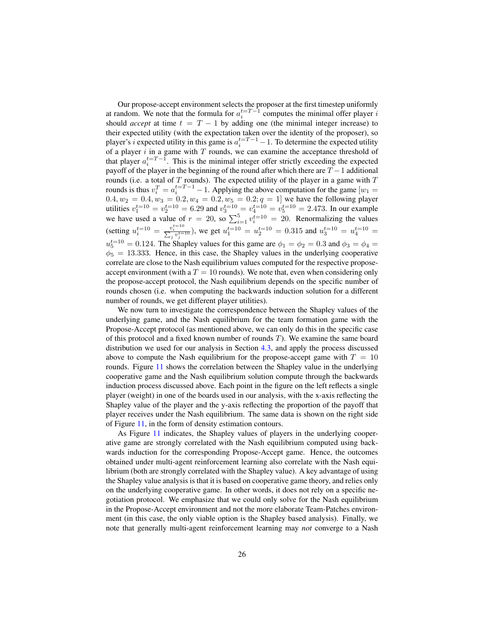Our propose-accept environment selects the proposer at the first timestep uniformly at random. We note that the formula for  $a_i^{t=T-1}$  computes the minimal offer player i should *accept* at time  $t = T - 1$  by adding one (the minimal integer increase) to their expected utility (with the expectation taken over the identity of the proposer), so player's *i* expected utility in this game is  $a_i^{t=T-1} - 1$ . To determine the expected utility of a player  $i$  in a game with  $T$  rounds, we can examine the acceptance threshold of that player  $a_i^{t=T-1}$ . This is the minimal integer offer strictly exceeding the expected payoff of the player in the beginning of the round after which there are  $T - 1$  additional rounds (i.e. a total of  $T$  rounds). The expected utility of the player in a game with  $T$ rounds is thus  $v_i^T = a_i^{t=T-1} - 1$ . Applying the above computation for the game  $[w_1 =$  $0.4, w_2 = 0.4, w_3 = 0.2, w_4 = 0.2, w_5 = 0.2; q = 1$  we have the following player utilities  $v_1^{t=10} = v_2^{t=10} = 6.29$  and  $v_3^{t=10} = v_4^{t=10} = v_5^{t=10} = 2.473$ . In our example we have used a value of  $r = 20$ , so  $\sum_{i=1}^{5} v_i^{\overline{t}=10} = 20$ . Renormalizing the values (setting  $u_i^{t=10} = \frac{v_i^{t=10}}{\sum_j v_j^{t=10}}$ ), we get  $u_1^{t=10} = u_2^{t=10} = 0.315$  and  $u_3^{t=10} = u_4^{t=10} = 0$  $u_5^{t=10} = 0.124$ . The Shapley values for this game are  $\phi_1 = \phi_2 = 0.3$  and  $\phi_3 = \phi_4 =$  $\phi_5 = 13.333$ . Hence, in this case, the Shapley values in the underlying cooperative correlate are close to the Nash equilibrium values computed for the respective proposeaccept environment (with a  $T = 10$  rounds). We note that, even when considering only the propose-accept protocol, the Nash equilibrium depends on the specific number of rounds chosen (i.e. when computing the backwards induction solution for a different number of rounds, we get different player utilities).

We now turn to investigate the correspondence between the Shapley values of the underlying game, and the Nash equilibrium for the team formation game with the Propose-Accept protocol (as mentioned above, we can only do this in the specific case of this protocol and a fixed known number of rounds  $T$ ). We examine the same board distribution we used for our analysis in Section [4.3,](#page-15-2) and apply the process discussed above to compute the Nash equilibrium for the propose-accept game with  $T = 10$ rounds. Figure [11](#page-26-1) shows the correlation between the Shapley value in the underlying cooperative game and the Nash equilibrium solution compute through the backwards induction process discussed above. Each point in the figure on the left reflects a single player (weight) in one of the boards used in our analysis, with the x-axis reflecting the Shapley value of the player and the y-axis reflecting the proportion of the payoff that player receives under the Nash equilibrium. The same data is shown on the right side of Figure [11,](#page-26-1) in the form of density estimation contours.

As Figure [11](#page-26-1) indicates, the Shapley values of players in the underlying cooperative game are strongly correlated with the Nash equilibrium computed using backwards induction for the corresponding Propose-Accept game. Hence, the outcomes obtained under multi-agent reinforcement learning also correlate with the Nash equilibrium (both are strongly correlated with the Shapley value). A key advantage of using the Shapley value analysis is that it is based on cooperative game theory, and relies only on the underlying cooperative game. In other words, it does not rely on a specific negotiation protocol. We emphasize that we could only solve for the Nash equilibrium in the Propose-Accept environment and not the more elaborate Team-Patches environment (in this case, the only viable option is the Shapley based analysis). Finally, we note that generally multi-agent reinforcement learning may *not* converge to a Nash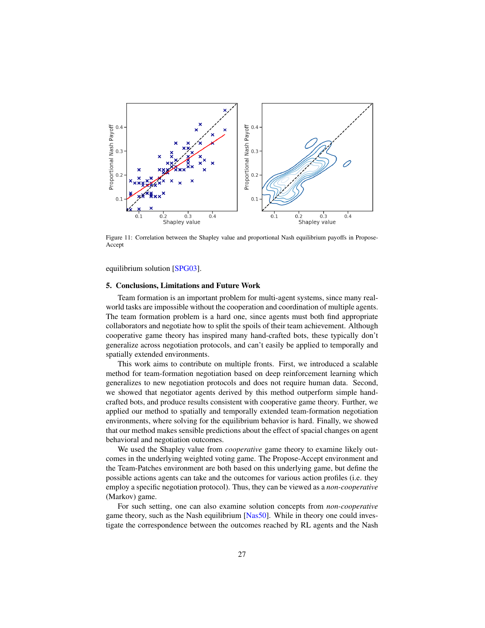<span id="page-26-1"></span>

Figure 11: Correlation between the Shapley value and proportional Nash equilibrium payoffs in Propose-Accept

<span id="page-26-0"></span>equilibrium solution [\[SPG03\]](#page-38-8).

#### 5. Conclusions, Limitations and Future Work

Team formation is an important problem for multi-agent systems, since many realworld tasks are impossible without the cooperation and coordination of multiple agents. The team formation problem is a hard one, since agents must both find appropriate collaborators and negotiate how to split the spoils of their team achievement. Although cooperative game theory has inspired many hand-crafted bots, these typically don't generalize across negotiation protocols, and can't easily be applied to temporally and spatially extended environments.

This work aims to contribute on multiple fronts. First, we introduced a scalable method for team-formation negotiation based on deep reinforcement learning which generalizes to new negotiation protocols and does not require human data. Second, we showed that negotiator agents derived by this method outperform simple handcrafted bots, and produce results consistent with cooperative game theory. Further, we applied our method to spatially and temporally extended team-formation negotiation environments, where solving for the equilibrium behavior is hard. Finally, we showed that our method makes sensible predictions about the effect of spacial changes on agent behavioral and negotiation outcomes.

We used the Shapley value from *cooperative* game theory to examine likely outcomes in the underlying weighted voting game. The Propose-Accept environment and the Team-Patches environment are both based on this underlying game, but define the possible actions agents can take and the outcomes for various action profiles (i.e. they employ a specific negotiation protocol). Thus, they can be viewed as a *non-cooperative* (Markov) game.

For such setting, one can also examine solution concepts from *non-cooperative* game theory, such as the Nash equilibrium [\[Nas50\]](#page-36-11). While in theory one could investigate the correspondence between the outcomes reached by RL agents and the Nash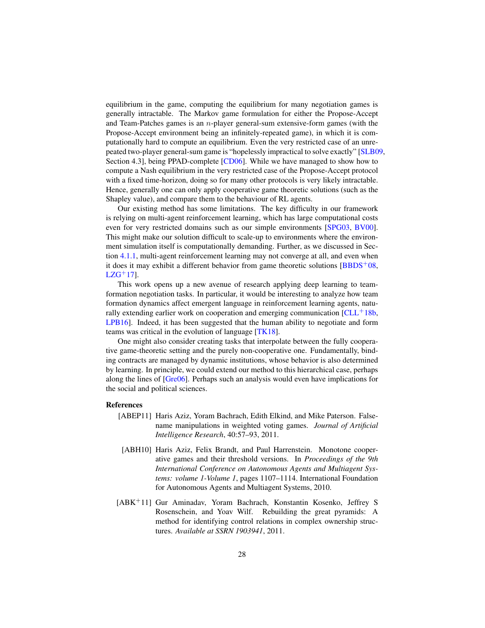equilibrium in the game, computing the equilibrium for many negotiation games is generally intractable. The Markov game formulation for either the Propose-Accept and Team-Patches games is an n-player general-sum extensive-form games (with the Propose-Accept environment being an infinitely-repeated game), in which it is computationally hard to compute an equilibrium. Even the very restricted case of an unrepeated two-player general-sum game is "hopelessly impractical to solve exactly" [\[SLB09,](#page-37-9) Section 4.3], being PPAD-complete [\[CD06\]](#page-31-8). While we have managed to show how to compute a Nash equilibrium in the very restricted case of the Propose-Accept protocol with a fixed time-horizon, doing so for many other protocols is very likely intractable. Hence, generally one can only apply cooperative game theoretic solutions (such as the Shapley value), and compare them to the behaviour of RL agents.

Our existing method has some limitations. The key difficulty in our framework is relying on multi-agent reinforcement learning, which has large computational costs even for very restricted domains such as our simple environments [\[SPG03,](#page-38-8) [BV00\]](#page-30-11). This might make our solution difficult to scale-up to environments where the environment simulation itself is computationally demanding. Further, as we discussed in Section [4.1.1,](#page-11-0) multi-agent reinforcement learning may not converge at all, and even when it does it may exhibit a different behavior from game theoretic solutions  $[BBDS<sup>+</sup>08$  $[BBDS<sup>+</sup>08$ ,  $LZG+17$  $LZG+17$ ].

This work opens up a new avenue of research applying deep learning to teamformation negotiation tasks. In particular, it would be interesting to analyze how team formation dynamics affect emergent language in reinforcement learning agents, naturally extending earlier work on cooperation and emerging communication  $[CLL^+18b,$  $[CLL^+18b,$ [LPB16\]](#page-35-11). Indeed, it has been suggested that the human ability to negotiate and form teams was critical in the evolution of language [\[TK18\]](#page-38-12).

One might also consider creating tasks that interpolate between the fully cooperative game-theoretic setting and the purely non-cooperative one. Fundamentally, binding contracts are managed by dynamic institutions, whose behavior is also determined by learning. In principle, we could extend our method to this hierarchical case, perhaps along the lines of [\[Gre06\]](#page-32-11). Perhaps such an analysis would even have implications for the social and political sciences.

# References

- <span id="page-27-1"></span><span id="page-27-0"></span>[ABEP11] Haris Aziz, Yoram Bachrach, Edith Elkind, and Mike Paterson. Falsename manipulations in weighted voting games. *Journal of Artificial Intelligence Research*, 40:57–93, 2011.
	- [ABH10] Haris Aziz, Felix Brandt, and Paul Harrenstein. Monotone cooperative games and their threshold versions. In *Proceedings of the 9th International Conference on Autonomous Agents and Multiagent Systems: volume 1-Volume 1*, pages 1107–1114. International Foundation for Autonomous Agents and Multiagent Systems, 2010.
- <span id="page-27-2"></span>[ABK<sup>+</sup>11] Gur Aminadav, Yoram Bachrach, Konstantin Kosenko, Jeffrey S Rosenschein, and Yoav Wilf. Rebuilding the great pyramids: A method for identifying control relations in complex ownership structures. *Available at SSRN 1903941*, 2011.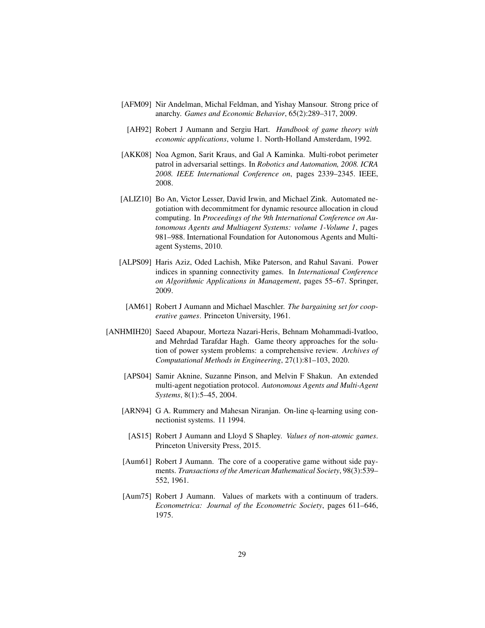- <span id="page-28-4"></span>[AFM09] Nir Andelman, Michal Feldman, and Yishay Mansour. Strong price of anarchy. *Games and Economic Behavior*, 65(2):289–317, 2009.
- <span id="page-28-3"></span>[AH92] Robert J Aumann and Sergiu Hart. *Handbook of game theory with economic applications*, volume 1. North-Holland Amsterdam, 1992.
- <span id="page-28-0"></span>[AKK08] Noa Agmon, Sarit Kraus, and Gal A Kaminka. Multi-robot perimeter patrol in adversarial settings. In *Robotics and Automation, 2008. ICRA 2008. IEEE International Conference on*, pages 2339–2345. IEEE, 2008.
- <span id="page-28-9"></span>[ALIZ10] Bo An, Victor Lesser, David Irwin, and Michael Zink. Automated negotiation with decommitment for dynamic resource allocation in cloud computing. In *Proceedings of the 9th International Conference on Autonomous Agents and Multiagent Systems: volume 1-Volume 1*, pages 981–988. International Foundation for Autonomous Agents and Multiagent Systems, 2010.
- <span id="page-28-5"></span>[ALPS09] Haris Aziz, Oded Lachish, Mike Paterson, and Rahul Savani. Power indices in spanning connectivity games. In *International Conference on Algorithmic Applications in Management*, pages 55–67. Springer, 2009.
	- [AM61] Robert J Aumann and Michael Maschler. *The bargaining set for cooperative games*. Princeton University, 1961.
- <span id="page-28-11"></span><span id="page-28-10"></span><span id="page-28-8"></span><span id="page-28-7"></span><span id="page-28-6"></span><span id="page-28-2"></span><span id="page-28-1"></span>[ANHMIH20] Saeed Abapour, Morteza Nazari-Heris, Behnam Mohammadi-Ivatloo, and Mehrdad Tarafdar Hagh. Game theory approaches for the solution of power system problems: a comprehensive review. *Archives of Computational Methods in Engineering*, 27(1):81–103, 2020.
	- [APS04] Samir Aknine, Suzanne Pinson, and Melvin F Shakun. An extended multi-agent negotiation protocol. *Autonomous Agents and Multi-Agent Systems*, 8(1):5–45, 2004.
	- [ARN94] G A. Rummery and Mahesan Niranjan. On-line q-learning using connectionist systems. 11 1994.
		- [AS15] Robert J Aumann and Lloyd S Shapley. *Values of non-atomic games*. Princeton University Press, 2015.
	- [Aum61] Robert J Aumann. The core of a cooperative game without side payments. *Transactions of the American Mathematical Society*, 98(3):539– 552, 1961.
	- [Aum75] Robert J Aumann. Values of markets with a continuum of traders. *Econometrica: Journal of the Econometric Society*, pages 611–646, 1975.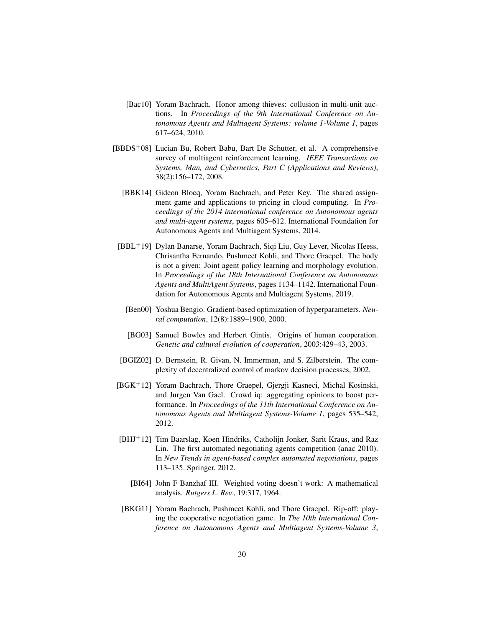- <span id="page-29-4"></span>[Bac10] Yoram Bachrach. Honor among thieves: collusion in multi-unit auctions. In *Proceedings of the 9th International Conference on Autonomous Agents and Multiagent Systems: volume 1-Volume 1*, pages 617–624, 2010.
- <span id="page-29-8"></span><span id="page-29-6"></span><span id="page-29-3"></span>[BBDS+08] Lucian Bu, Robert Babu, Bart De Schutter, et al. A comprehensive survey of multiagent reinforcement learning. *IEEE Transactions on Systems, Man, and Cybernetics, Part C (Applications and Reviews)*, 38(2):156–172, 2008.
	- [BBK14] Gideon Blocq, Yoram Bachrach, and Peter Key. The shared assignment game and applications to pricing in cloud computing. In *Proceedings of the 2014 international conference on Autonomous agents and multi-agent systems*, pages 605–612. International Foundation for Autonomous Agents and Multiagent Systems, 2014.
	- [BBL<sup>+</sup>19] Dylan Banarse, Yoram Bachrach, Siqi Liu, Guy Lever, Nicolas Heess, Chrisantha Fernando, Pushmeet Kohli, and Thore Graepel. The body is not a given: Joint agent policy learning and morphology evolution. In *Proceedings of the 18th International Conference on Autonomous Agents and MultiAgent Systems*, pages 1134–1142. International Foundation for Autonomous Agents and Multiagent Systems, 2019.
		- [Ben00] Yoshua Bengio. Gradient-based optimization of hyperparameters. *Neural computation*, 12(8):1889–1900, 2000.
		- [BG03] Samuel Bowles and Herbert Gintis. Origins of human cooperation. *Genetic and cultural evolution of cooperation*, 2003:429–43, 2003.
	- [BGIZ02] D. Bernstein, R. Givan, N. Immerman, and S. Zilberstein. The complexity of decentralized control of markov decision processes, 2002.
- <span id="page-29-10"></span><span id="page-29-7"></span><span id="page-29-2"></span><span id="page-29-0"></span>[BGK<sup>+</sup>12] Yoram Bachrach, Thore Graepel, Gjergji Kasneci, Michal Kosinski, and Jurgen Van Gael. Crowd iq: aggregating opinions to boost performance. In *Proceedings of the 11th International Conference on Autonomous Agents and Multiagent Systems-Volume 1*, pages 535–542, 2012.
- <span id="page-29-9"></span>[BHJ<sup>+</sup>12] Tim Baarslag, Koen Hindriks, Catholijn Jonker, Sarit Kraus, and Raz Lin. The first automated negotiating agents competition (anac 2010). In *New Trends in agent-based complex automated negotiations*, pages 113–135. Springer, 2012.
	- [BI64] John F Banzhaf III. Weighted voting doesn't work: A mathematical analysis. *Rutgers L. Rev.*, 19:317, 1964.
- <span id="page-29-5"></span><span id="page-29-1"></span>[BKG11] Yoram Bachrach, Pushmeet Kohli, and Thore Graepel. Rip-off: playing the cooperative negotiation game. In *The 10th International Conference on Autonomous Agents and Multiagent Systems-Volume 3*,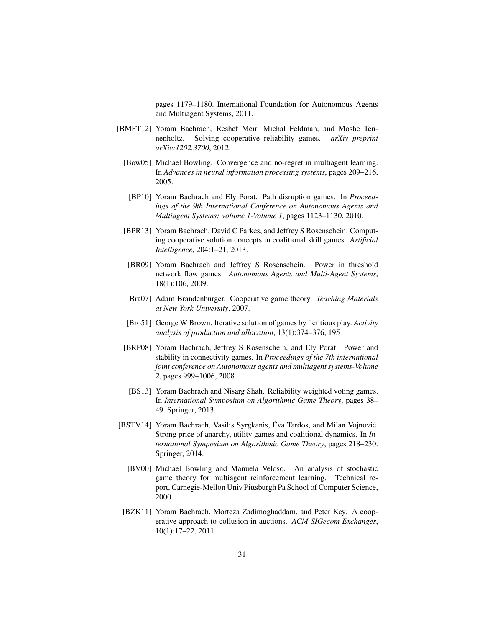pages 1179–1180. International Foundation for Autonomous Agents and Multiagent Systems, 2011.

- <span id="page-30-10"></span><span id="page-30-7"></span><span id="page-30-6"></span><span id="page-30-3"></span><span id="page-30-2"></span>[BMFT12] Yoram Bachrach, Reshef Meir, Michal Feldman, and Moshe Tennenholtz. Solving cooperative reliability games. *arXiv preprint arXiv:1202.3700*, 2012.
	- [Bow05] Michael Bowling. Convergence and no-regret in multiagent learning. In *Advances in neural information processing systems*, pages 209–216, 2005.
	- [BP10] Yoram Bachrach and Ely Porat. Path disruption games. In *Proceedings of the 9th International Conference on Autonomous Agents and Multiagent Systems: volume 1-Volume 1*, pages 1123–1130, 2010.
	- [BPR13] Yoram Bachrach, David C Parkes, and Jeffrey S Rosenschein. Computing cooperative solution concepts in coalitional skill games. *Artificial Intelligence*, 204:1–21, 2013.
	- [BR09] Yoram Bachrach and Jeffrey S Rosenschein. Power in threshold network flow games. *Autonomous Agents and Multi-Agent Systems*, 18(1):106, 2009.
	- [Bra07] Adam Brandenburger. Cooperative game theory. *Teaching Materials at New York University*, 2007.
	- [Bro51] George W Brown. Iterative solution of games by fictitious play. *Activity analysis of production and allocation*, 13(1):374–376, 1951.
	- [BRP08] Yoram Bachrach, Jeffrey S Rosenschein, and Ely Porat. Power and stability in connectivity games. In *Proceedings of the 7th international joint conference on Autonomous agents and multiagent systems-Volume 2*, pages 999–1006, 2008.
	- [BS13] Yoram Bachrach and Nisarg Shah. Reliability weighted voting games. In *International Symposium on Algorithmic Game Theory*, pages 38– 49. Springer, 2013.
- <span id="page-30-11"></span><span id="page-30-9"></span><span id="page-30-8"></span><span id="page-30-5"></span><span id="page-30-1"></span><span id="page-30-0"></span> $[BSTV14]$  Yoram Bachrach, Vasilis Syrgkanis, Éva Tardos, and Milan Vojnović. Strong price of anarchy, utility games and coalitional dynamics. In *International Symposium on Algorithmic Game Theory*, pages 218–230. Springer, 2014.
	- [BV00] Michael Bowling and Manuela Veloso. An analysis of stochastic game theory for multiagent reinforcement learning. Technical report, Carnegie-Mellon Univ Pittsburgh Pa School of Computer Science, 2000.
- <span id="page-30-4"></span>[BZK11] Yoram Bachrach, Morteza Zadimoghaddam, and Peter Key. A cooperative approach to collusion in auctions. *ACM SIGecom Exchanges*, 10(1):17–22, 2011.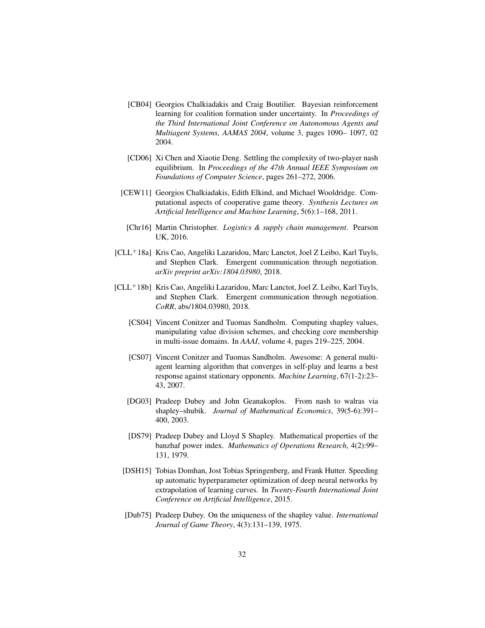- <span id="page-31-5"></span>[CB04] Georgios Chalkiadakis and Craig Boutilier. Bayesian reinforcement learning for coalition formation under uncertainty. In *Proceedings of the Third International Joint Conference on Autonomous Agents and Multiagent Systems, AAMAS 2004*, volume 3, pages 1090– 1097, 02 2004.
- <span id="page-31-8"></span>[CD06] Xi Chen and Xiaotie Deng. Settling the complexity of two-player nash equilibrium. In *Proceedings of the 47th Annual IEEE Symposium on Foundations of Computer Science*, pages 261–272, 2006.
- <span id="page-31-1"></span>[CEW11] Georgios Chalkiadakis, Edith Elkind, and Michael Wooldridge. Computational aspects of cooperative game theory. *Synthesis Lectures on Artificial Intelligence and Machine Learning*, 5(6):1–168, 2011.
- <span id="page-31-0"></span>[Chr16] Martin Christopher. *Logistics & supply chain management*. Pearson UK, 2016.
- <span id="page-31-4"></span> $[CLL+18a]$  Kris Cao, Angeliki Lazaridou, Marc Lanctot, Joel Z Leibo, Karl Tuyls, and Stephen Clark. Emergent communication through negotiation. *arXiv preprint arXiv:1804.03980*, 2018.
- <span id="page-31-11"></span><span id="page-31-10"></span><span id="page-31-9"></span><span id="page-31-7"></span><span id="page-31-6"></span><span id="page-31-3"></span><span id="page-31-2"></span>[CLL<sup>+</sup>18b] Kris Cao, Angeliki Lazaridou, Marc Lanctot, Joel Z. Leibo, Karl Tuyls, and Stephen Clark. Emergent communication through negotiation. *CoRR*, abs/1804.03980, 2018.
	- [CS04] Vincent Conitzer and Tuomas Sandholm. Computing shapley values, manipulating value division schemes, and checking core membership in multi-issue domains. In *AAAI*, volume 4, pages 219–225, 2004.
	- [CS07] Vincent Conitzer and Tuomas Sandholm. Awesome: A general multiagent learning algorithm that converges in self-play and learns a best response against stationary opponents. *Machine Learning*, 67(1-2):23– 43, 2007.
	- [DG03] Pradeep Dubey and John Geanakoplos. From nash to walras via shapley–shubik. *Journal of Mathematical Economics*, 39(5-6):391– 400, 2003.
	- [DS79] Pradeep Dubey and Lloyd S Shapley. Mathematical properties of the banzhaf power index. *Mathematics of Operations Research*, 4(2):99– 131, 1979.
	- [DSH15] Tobias Domhan, Jost Tobias Springenberg, and Frank Hutter. Speeding up automatic hyperparameter optimization of deep neural networks by extrapolation of learning curves. In *Twenty-Fourth International Joint Conference on Artificial Intelligence*, 2015.
	- [Dub75] Pradeep Dubey. On the uniqueness of the shapley value. *International Journal of Game Theory*, 4(3):131–139, 1975.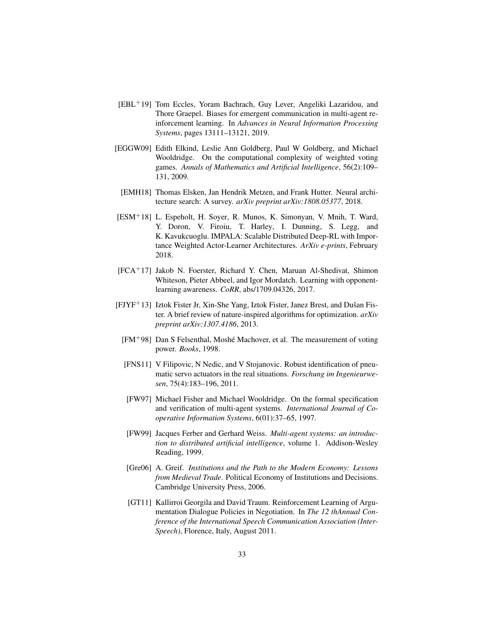- <span id="page-32-4"></span>[EBL+19] Tom Eccles, Yoram Bachrach, Guy Lever, Angeliki Lazaridou, and Thore Graepel. Biases for emergent communication in multi-agent reinforcement learning. In *Advances in Neural Information Processing Systems*, pages 13111–13121, 2019.
- <span id="page-32-8"></span>[EGGW09] Edith Elkind, Leslie Ann Goldberg, Paul W Goldberg, and Michael Wooldridge. On the computational complexity of weighted voting games. *Annals of Mathematics and Artificial Intelligence*, 56(2):109– 131, 2009.
- <span id="page-32-9"></span>[EMH18] Thomas Elsken, Jan Hendrik Metzen, and Frank Hutter. Neural architecture search: A survey. *arXiv preprint arXiv:1808.05377*, 2018.
- <span id="page-32-6"></span>[ESM+18] L. Espeholt, H. Soyer, R. Munos, K. Simonyan, V. Mnih, T. Ward, Y. Doron, V. Firoiu, T. Harley, I. Dunning, S. Legg, and K. Kavukcuoglu. IMPALA: Scalable Distributed Deep-RL with Importance Weighted Actor-Learner Architectures. *ArXiv e-prints*, February 2018.
- <span id="page-32-1"></span>[FCA<sup>+</sup>17] Jakob N. Foerster, Richard Y. Chen, Maruan Al-Shedivat, Shimon Whiteson, Pieter Abbeel, and Igor Mordatch. Learning with opponentlearning awareness. *CoRR*, abs/1709.04326, 2017.
- <span id="page-32-11"></span><span id="page-32-10"></span><span id="page-32-7"></span><span id="page-32-5"></span><span id="page-32-3"></span><span id="page-32-2"></span><span id="page-32-0"></span> $[FJYF<sup>+</sup>13]$  Iztok Fister Jr, Xin-She Yang, Iztok Fister, Janez Brest, and Dušan Fister. A brief review of nature-inspired algorithms for optimization. *arXiv preprint arXiv:1307.4186*, 2013.
	- $[FM+98]$  Dan S Felsenthal, Moshé Machover, et al. The measurement of voting power. *Books*, 1998.
	- [FNS11] V Filipovic, N Nedic, and V Stojanovic. Robust identification of pneumatic servo actuators in the real situations. *Forschung im Ingenieurwesen*, 75(4):183–196, 2011.
	- [FW97] Michael Fisher and Michael Wooldridge. On the formal specification and verification of multi-agent systems. *International Journal of Cooperative Information Systems*, 6(01):37–65, 1997.
	- [FW99] Jacques Ferber and Gerhard Weiss. *Multi-agent systems: an introduction to distributed artificial intelligence*, volume 1. Addison-Wesley Reading, 1999.
	- [Gre06] A. Greif. *Institutions and the Path to the Modern Economy: Lessons from Medieval Trade*. Political Economy of Institutions and Decisions. Cambridge University Press, 2006.
	- [GT11] Kallirroi Georgila and David Traum. Reinforcement Learning of Argumentation Dialogue Policies in Negotiation. In *The 12 thAnnual Conference of the International Speech Communication Association (Inter-Speech)*, Florence, Italy, August 2011.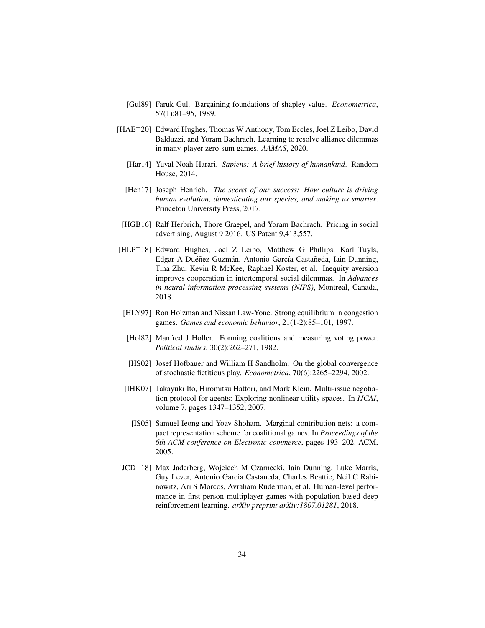- <span id="page-33-7"></span>[Gul89] Faruk Gul. Bargaining foundations of shapley value. *Econometrica*, 57(1):81–95, 1989.
- <span id="page-33-9"></span><span id="page-33-0"></span>[HAE+20] Edward Hughes, Thomas W Anthony, Tom Eccles, Joel Z Leibo, David Balduzzi, and Yoram Bachrach. Learning to resolve alliance dilemmas in many-player zero-sum games. *AAMAS*, 2020.
	- [Har14] Yuval Noah Harari. *Sapiens: A brief history of humankind*. Random House, 2014.
	- [Hen17] Joseph Henrich. *The secret of our success: How culture is driving human evolution, domesticating our species, and making us smarter*. Princeton University Press, 2017.
- <span id="page-33-6"></span><span id="page-33-1"></span>[HGB16] Ralf Herbrich, Thore Graepel, and Yoram Bachrach. Pricing in social advertising, August 9 2016. US Patent 9,413,557.
- <span id="page-33-10"></span>[HLP<sup>+</sup>18] Edward Hughes, Joel Z Leibo, Matthew G Phillips, Karl Tuyls, Edgar A Duéñez-Guzmán, Antonio García Castañeda, Iain Dunning, Tina Zhu, Kevin R McKee, Raphael Koster, et al. Inequity aversion improves cooperation in intertemporal social dilemmas. In *Advances in neural information processing systems (NIPS)*, Montreal, Canada, 2018.
- <span id="page-33-4"></span>[HLY97] Ron Holzman and Nissan Law-Yone. Strong equilibrium in congestion games. *Games and economic behavior*, 21(1-2):85–101, 1997.
- <span id="page-33-3"></span>[Hol82] Manfred J Holler. Forming coalitions and measuring voting power. *Political studies*, 30(2):262–271, 1982.
- <span id="page-33-11"></span>[HS02] Josef Hofbauer and William H Sandholm. On the global convergence of stochastic fictitious play. *Econometrica*, 70(6):2265–2294, 2002.
- <span id="page-33-8"></span><span id="page-33-5"></span>[IHK07] Takayuki Ito, Hiromitsu Hattori, and Mark Klein. Multi-issue negotiation protocol for agents: Exploring nonlinear utility spaces. In *IJCAI*, volume 7, pages 1347–1352, 2007.
	- [IS05] Samuel Ieong and Yoav Shoham. Marginal contribution nets: a compact representation scheme for coalitional games. In *Proceedings of the 6th ACM conference on Electronic commerce*, pages 193–202. ACM, 2005.
- <span id="page-33-2"></span>[JCD<sup>+</sup>18] Max Jaderberg, Wojciech M Czarnecki, Iain Dunning, Luke Marris, Guy Lever, Antonio Garcia Castaneda, Charles Beattie, Neil C Rabinowitz, Ari S Morcos, Avraham Ruderman, et al. Human-level performance in first-person multiplayer games with population-based deep reinforcement learning. *arXiv preprint arXiv:1807.01281*, 2018.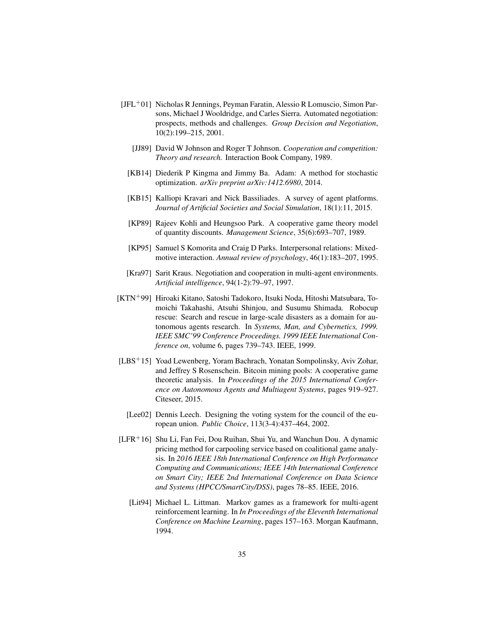- <span id="page-34-11"></span><span id="page-34-10"></span><span id="page-34-6"></span><span id="page-34-0"></span> $[JFL+01]$  Nicholas R Jennings, Peyman Faratin, Alessio R Lomuscio, Simon Parsons, Michael J Wooldridge, and Carles Sierra. Automated negotiation: prospects, methods and challenges. *Group Decision and Negotiation*, 10(2):199–215, 2001.
	- [JJ89] David W Johnson and Roger T Johnson. *Cooperation and competition: Theory and research.* Interaction Book Company, 1989.
	- [KB14] Diederik P Kingma and Jimmy Ba. Adam: A method for stochastic optimization. *arXiv preprint arXiv:1412.6980*, 2014.
	- [KB15] Kalliopi Kravari and Nick Bassiliades. A survey of agent platforms. *Journal of Artificial Societies and Social Simulation*, 18(1):11, 2015.
	- [KP89] Rajeev Kohli and Heungsoo Park. A cooperative game theory model of quantity discounts. *Management Science*, 35(6):693–707, 1989.
	- [KP95] Samuel S Komorita and Craig D Parks. Interpersonal relations: Mixedmotive interaction. *Annual review of psychology*, 46(1):183–207, 1995.
	- [Kra97] Sarit Kraus. Negotiation and cooperation in multi-agent environments. *Artificial intelligence*, 94(1-2):79–97, 1997.
- <span id="page-34-5"></span><span id="page-34-3"></span><span id="page-34-2"></span><span id="page-34-1"></span>[KTN<sup>+</sup>99] Hiroaki Kitano, Satoshi Tadokoro, Itsuki Noda, Hitoshi Matsubara, Tomoichi Takahashi, Atsuhi Shinjou, and Susumu Shimada. Robocup rescue: Search and rescue in large-scale disasters as a domain for autonomous agents research. In *Systems, Man, and Cybernetics, 1999. IEEE SMC'99 Conference Proceedings. 1999 IEEE International Conference on*, volume 6, pages 739–743. IEEE, 1999.
- <span id="page-34-7"></span>[LBS<sup>+</sup>15] Yoad Lewenberg, Yoram Bachrach, Yonatan Sompolinsky, Aviv Zohar, and Jeffrey S Rosenschein. Bitcoin mining pools: A cooperative game theoretic analysis. In *Proceedings of the 2015 International Conference on Autonomous Agents and Multiagent Systems*, pages 919–927. Citeseer, 2015.
	- [Lee02] Dennis Leech. Designing the voting system for the council of the european union. *Public Choice*, 113(3-4):437–464, 2002.
- <span id="page-34-9"></span><span id="page-34-8"></span><span id="page-34-4"></span>[LFR<sup>+</sup>16] Shu Li, Fan Fei, Dou Ruihan, Shui Yu, and Wanchun Dou. A dynamic pricing method for carpooling service based on coalitional game analysis. In *2016 IEEE 18th International Conference on High Performance Computing and Communications; IEEE 14th International Conference on Smart City; IEEE 2nd International Conference on Data Science and Systems (HPCC/SmartCity/DSS)*, pages 78–85. IEEE, 2016.
	- [Lit94] Michael L. Littman. Markov games as a framework for multi-agent reinforcement learning. In *In Proceedings of the Eleventh International Conference on Machine Learning*, pages 157–163. Morgan Kaufmann, 1994.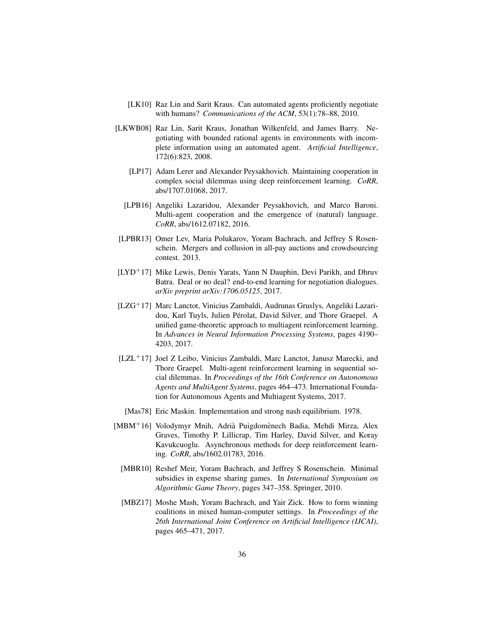- <span id="page-35-3"></span>[LK10] Raz Lin and Sarit Kraus. Can automated agents proficiently negotiate with humans? *Communications of the ACM*, 53(1):78–88, 2010.
- <span id="page-35-9"></span><span id="page-35-5"></span>[LKWB08] Raz Lin, Sarit Kraus, Jonathan Wilkenfeld, and James Barry. Negotiating with bounded rational agents in environments with incomplete information using an automated agent. *Artificial Intelligence*, 172(6):823, 2008.
	- [LP17] Adam Lerer and Alexander Peysakhovich. Maintaining cooperation in complex social dilemmas using deep reinforcement learning. *CoRR*, abs/1707.01068, 2017.
	- [LPB16] Angeliki Lazaridou, Alexander Peysakhovich, and Marco Baroni. Multi-agent cooperation and the emergence of (natural) language. *CoRR*, abs/1612.07182, 2016.
- <span id="page-35-11"></span><span id="page-35-2"></span>[LPBR13] Omer Lev, Maria Polukarov, Yoram Bachrach, and Jeffrey S Rosenschein. Mergers and collusion in all-pay auctions and crowdsourcing contest. 2013.
- <span id="page-35-6"></span>[LYD<sup>+</sup>17] Mike Lewis, Denis Yarats, Yann N Dauphin, Devi Parikh, and Dhruv Batra. Deal or no deal? end-to-end learning for negotiation dialogues. *arXiv preprint arXiv:1706.05125*, 2017.
- <span id="page-35-7"></span>[LZG<sup>+</sup>17] Marc Lanctot, Vinicius Zambaldi, Audrunas Gruslys, Angeliki Lazaridou, Karl Tuyls, Julien Pérolat, David Silver, and Thore Graepel. A unified game-theoretic approach to multiagent reinforcement learning. In *Advances in Neural Information Processing Systems*, pages 4190– 4203, 2017.
- <span id="page-35-4"></span>[LZL<sup>+</sup>17] Joel Z Leibo, Vinicius Zambaldi, Marc Lanctot, Janusz Marecki, and Thore Graepel. Multi-agent reinforcement learning in sequential social dilemmas. In *Proceedings of the 16th Conference on Autonomous Agents and MultiAgent Systems*, pages 464–473. International Foundation for Autonomous Agents and Multiagent Systems, 2017.
	- [Mas78] Eric Maskin. Implementation and strong nash equilibrium. 1978.
- <span id="page-35-10"></span><span id="page-35-8"></span><span id="page-35-1"></span><span id="page-35-0"></span> $[MBM<sup>+</sup>16]$  Volodymyr Mnih, Adrià Puigdomènech Badia, Mehdi Mirza, Alex Graves, Timothy P. Lillicrap, Tim Harley, David Silver, and Koray Kavukcuoglu. Asynchronous methods for deep reinforcement learning. *CoRR*, abs/1602.01783, 2016.
	- [MBR10] Reshef Meir, Yoram Bachrach, and Jeffrey S Rosenschein. Minimal subsidies in expense sharing games. In *International Symposium on Algorithmic Game Theory*, pages 347–358. Springer, 2010.
	- [MBZ17] Moshe Mash, Yoram Bachrach, and Yair Zick. How to form winning coalitions in mixed human-computer settings. In *Proceedings of the 26th International Joint Conference on Artificial Intelligence (IJCAI)*, pages 465–471, 2017.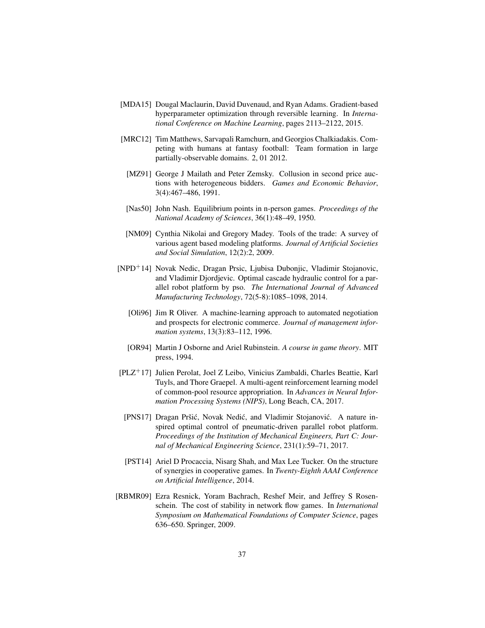- <span id="page-36-8"></span>[MDA15] Dougal Maclaurin, David Duvenaud, and Ryan Adams. Gradient-based hyperparameter optimization through reversible learning. In *International Conference on Machine Learning*, pages 2113–2122, 2015.
- <span id="page-36-5"></span>[MRC12] Tim Matthews, Sarvapali Ramchurn, and Georgios Chalkiadakis. Competing with humans at fantasy football: Team formation in large partially-observable domains. 2, 01 2012.
- <span id="page-36-1"></span>[MZ91] George J Mailath and Peter Zemsky. Collusion in second price auctions with heterogeneous bidders. *Games and Economic Behavior*, 3(4):467–486, 1991.
- <span id="page-36-11"></span>[Nas50] John Nash. Equilibrium points in n-person games. *Proceedings of the National Academy of Sciences*, 36(1):48–49, 1950.
- <span id="page-36-4"></span>[NM09] Cynthia Nikolai and Gregory Madey. Tools of the trade: A survey of various agent based modeling platforms. *Journal of Artificial Societies and Social Simulation*, 12(2):2, 2009.
- <span id="page-36-9"></span><span id="page-36-2"></span>[NPD<sup>+</sup>14] Novak Nedic, Dragan Prsic, Ljubisa Dubonjic, Vladimir Stojanovic, and Vladimir Djordjevic. Optimal cascade hydraulic control for a parallel robot platform by pso. *The International Journal of Advanced Manufacturing Technology*, 72(5-8):1085–1098, 2014.
	- [Oli96] Jim R Oliver. A machine-learning approach to automated negotiation and prospects for electronic commerce. *Journal of management information systems*, 13(3):83–112, 1996.
	- [OR94] Martin J Osborne and Ariel Rubinstein. *A course in game theory*. MIT press, 1994.
- <span id="page-36-7"></span><span id="page-36-6"></span>[PLZ<sup>+</sup>17] Julien Perolat, Joel Z Leibo, Vinicius Zambaldi, Charles Beattie, Karl Tuyls, and Thore Graepel. A multi-agent reinforcement learning model of common-pool resource appropriation. In *Advances in Neural Information Processing Systems (NIPS)*, Long Beach, CA, 2017.
- <span id="page-36-10"></span>[PNS17] Dragan Pršić, Novak Nedić, and Vladimir Stojanović. A nature inspired optimal control of pneumatic-driven parallel robot platform. *Proceedings of the Institution of Mechanical Engineers, Part C: Journal of Mechanical Engineering Science*, 231(1):59–71, 2017.
- <span id="page-36-0"></span>[PST14] Ariel D Procaccia, Nisarg Shah, and Max Lee Tucker. On the structure of synergies in cooperative games. In *Twenty-Eighth AAAI Conference on Artificial Intelligence*, 2014.
- <span id="page-36-3"></span>[RBMR09] Ezra Resnick, Yoram Bachrach, Reshef Meir, and Jeffrey S Rosenschein. The cost of stability in network flow games. In *International Symposium on Mathematical Foundations of Computer Science*, pages 636–650. Springer, 2009.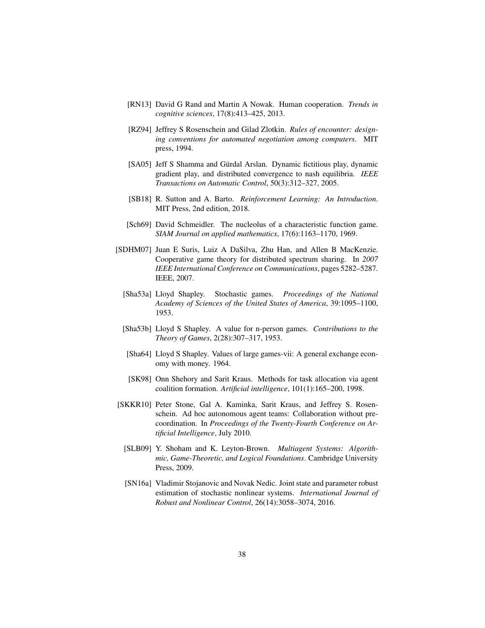- <span id="page-37-0"></span>[RN13] David G Rand and Martin A Nowak. Human cooperation. *Trends in cognitive sciences*, 17(8):413–425, 2013.
- <span id="page-37-2"></span>[RZ94] Jeffrey S Rosenschein and Gilad Zlotkin. *Rules of encounter: designing conventions for automated negotiation among computers*. MIT press, 1994.
- <span id="page-37-12"></span>[SA05] Jeff S Shamma and Gürdal Arslan. Dynamic fictitious play, dynamic gradient play, and distributed convergence to nash equilibria. *IEEE Transactions on Automatic Control*, 50(3):312–327, 2005.
- <span id="page-37-10"></span>[SB18] R. Sutton and A. Barto. *Reinforcement Learning: An Introduction*. MIT Press, 2nd edition, 2018.
- <span id="page-37-3"></span>[Sch69] David Schmeidler. The nucleolus of a characteristic function game. *SIAM Journal on applied mathematics*, 17(6):1163–1170, 1969.
- <span id="page-37-8"></span><span id="page-37-6"></span><span id="page-37-4"></span>[SDHM07] Juan E Suris, Luiz A DaSilva, Zhu Han, and Allen B MacKenzie. Cooperative game theory for distributed spectrum sharing. In *2007 IEEE International Conference on Communications*, pages 5282–5287. IEEE, 2007.
	- [Sha53a] Lloyd Shapley. Stochastic games. *Proceedings of the National Academy of Sciences of the United States of America*, 39:1095–1100, 1953.
	- [Sha53b] Lloyd S Shapley. A value for n-person games. *Contributions to the Theory of Games*, 2(28):307–317, 1953.
	- [Sha64] Lloyd S Shapley. Values of large games-vii: A general exchange economy with money. 1964.
	- [SK98] Onn Shehory and Sarit Kraus. Methods for task allocation via agent coalition formation. *Artificial intelligence*, 101(1):165–200, 1998.
- <span id="page-37-11"></span><span id="page-37-9"></span><span id="page-37-7"></span><span id="page-37-5"></span><span id="page-37-1"></span>[SKKR10] Peter Stone, Gal A. Kaminka, Sarit Kraus, and Jeffrey S. Rosenschein. Ad hoc autonomous agent teams: Collaboration without precoordination. In *Proceedings of the Twenty-Fourth Conference on Artificial Intelligence*, July 2010.
	- [SLB09] Y. Shoham and K. Leyton-Brown. *Multiagent Systems: Algorithmic, Game-Theoretic, and Logical Foundations*. Cambridge University Press, 2009.
	- [SN16a] Vladimir Stojanovic and Novak Nedic. Joint state and parameter robust estimation of stochastic nonlinear systems. *International Journal of Robust and Nonlinear Control*, 26(14):3058–3074, 2016.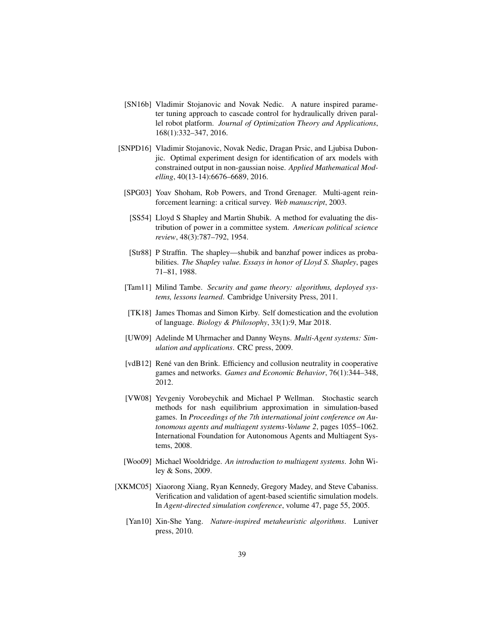- <span id="page-38-11"></span>[SN16b] Vladimir Stojanovic and Novak Nedic. A nature inspired parameter tuning approach to cascade control for hydraulically driven parallel robot platform. *Journal of Optimization Theory and Applications*, 168(1):332–347, 2016.
- <span id="page-38-9"></span><span id="page-38-8"></span><span id="page-38-2"></span><span id="page-38-1"></span><span id="page-38-0"></span>[SNPD16] Vladimir Stojanovic, Novak Nedic, Dragan Prsic, and Ljubisa Dubonjic. Optimal experiment design for identification of arx models with constrained output in non-gaussian noise. *Applied Mathematical Modelling*, 40(13-14):6676–6689, 2016.
	- [SPG03] Yoav Shoham, Rob Powers, and Trond Grenager. Multi-agent reinforcement learning: a critical survey. *Web manuscript*, 2003.
		- [SS54] Lloyd S Shapley and Martin Shubik. A method for evaluating the distribution of power in a committee system. *American political science review*, 48(3):787–792, 1954.
		- [Str88] P Straffin. The shapley—shubik and banzhaf power indices as probabilities. *The Shapley value. Essays in honor of Lloyd S. Shapley*, pages 71–81, 1988.
	- [Tam11] Milind Tambe. *Security and game theory: algorithms, deployed systems, lessons learned*. Cambridge University Press, 2011.
	- [TK18] James Thomas and Simon Kirby. Self domestication and the evolution of language. *Biology & Philosophy*, 33(1):9, Mar 2018.
	- [UW09] Adelinde M Uhrmacher and Danny Weyns. *Multi-Agent systems: Simulation and applications*. CRC press, 2009.
	- [vdB12] René van den Brink. Efficiency and collusion neutrality in cooperative games and networks. *Games and Economic Behavior*, 76(1):344–348, 2012.
	- [VW08] Yevgeniy Vorobeychik and Michael P Wellman. Stochastic search methods for nash equilibrium approximation in simulation-based games. In *Proceedings of the 7th international joint conference on Autonomous agents and multiagent systems-Volume 2*, pages 1055–1062. International Foundation for Autonomous Agents and Multiagent Systems, 2008.
- <span id="page-38-12"></span><span id="page-38-7"></span><span id="page-38-5"></span><span id="page-38-4"></span><span id="page-38-3"></span>[Woo09] Michael Wooldridge. *An introduction to multiagent systems*. John Wiley & Sons, 2009.
- <span id="page-38-10"></span><span id="page-38-6"></span>[XKMC05] Xiaorong Xiang, Ryan Kennedy, Gregory Madey, and Steve Cabaniss. Verification and validation of agent-based scientific simulation models. In *Agent-directed simulation conference*, volume 47, page 55, 2005.
	- [Yan10] Xin-She Yang. *Nature-inspired metaheuristic algorithms*. Luniver press, 2010.